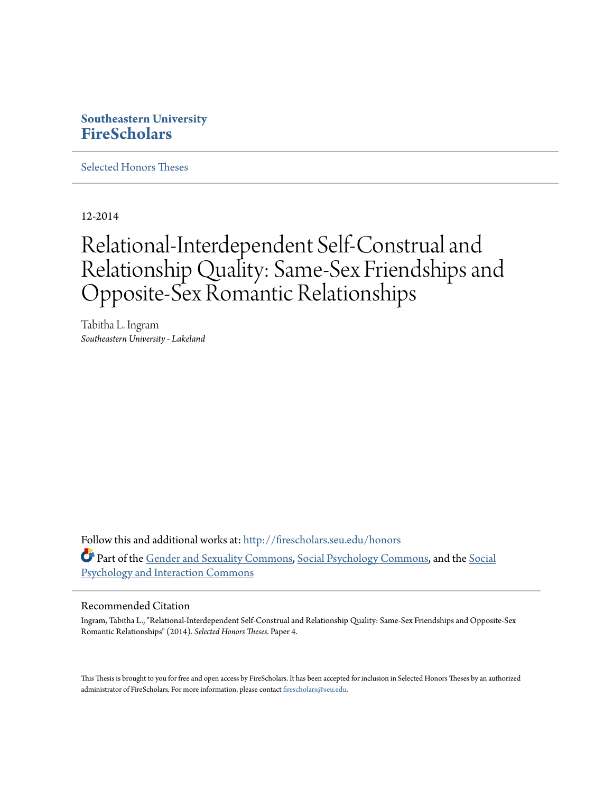# **Southeastern University [FireScholars](http://firescholars.seu.edu?utm_source=firescholars.seu.edu%2Fhonors%2F4&utm_medium=PDF&utm_campaign=PDFCoverPages)**

[Selected Honors Theses](http://firescholars.seu.edu/honors?utm_source=firescholars.seu.edu%2Fhonors%2F4&utm_medium=PDF&utm_campaign=PDFCoverPages)

12-2014

# Relational-Interdependent Self-Construal and Relationship Quality: Same-Sex Friendships and Opposite-Sex Romantic Relationships

Tabitha L. Ingram *Southeastern University - Lakeland*

Follow this and additional works at: [http://firescholars.seu.edu/honors](http://firescholars.seu.edu/honors?utm_source=firescholars.seu.edu%2Fhonors%2F4&utm_medium=PDF&utm_campaign=PDFCoverPages) Part of the [Gender and Sexuality Commons](http://network.bepress.com/hgg/discipline/420?utm_source=firescholars.seu.edu%2Fhonors%2F4&utm_medium=PDF&utm_campaign=PDFCoverPages), [Social Psychology Commons](http://network.bepress.com/hgg/discipline/414?utm_source=firescholars.seu.edu%2Fhonors%2F4&utm_medium=PDF&utm_campaign=PDFCoverPages), and the [Social](http://network.bepress.com/hgg/discipline/430?utm_source=firescholars.seu.edu%2Fhonors%2F4&utm_medium=PDF&utm_campaign=PDFCoverPages) [Psychology and Interaction Commons](http://network.bepress.com/hgg/discipline/430?utm_source=firescholars.seu.edu%2Fhonors%2F4&utm_medium=PDF&utm_campaign=PDFCoverPages)

#### Recommended Citation

Ingram, Tabitha L., "Relational-Interdependent Self-Construal and Relationship Quality: Same-Sex Friendships and Opposite-Sex Romantic Relationships" (2014). *Selected Honors Theses.* Paper 4.

This Thesis is brought to you for free and open access by FireScholars. It has been accepted for inclusion in Selected Honors Theses by an authorized administrator of FireScholars. For more information, please contact [firescholars@seu.edu](mailto:firescholars@seu.edu).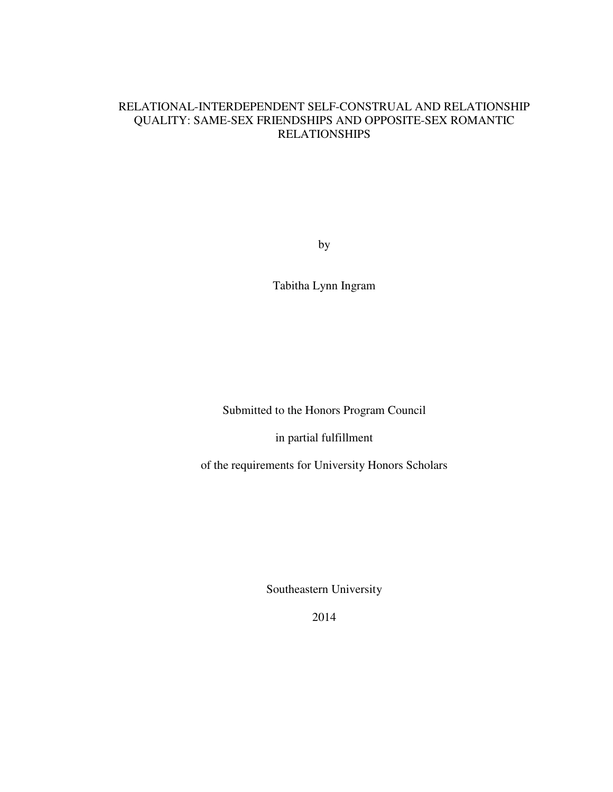# RELATIONAL-INTERDEPENDENT SELF-CONSTRUAL AND RELATIONSHIP QUALITY: SAME-SEX FRIENDSHIPS AND OPPOSITE-SEX ROMANTIC RELATIONSHIPS

by

Tabitha Lynn Ingram

Submitted to the Honors Program Council

in partial fulfillment

of the requirements for University Honors Scholars

Southeastern University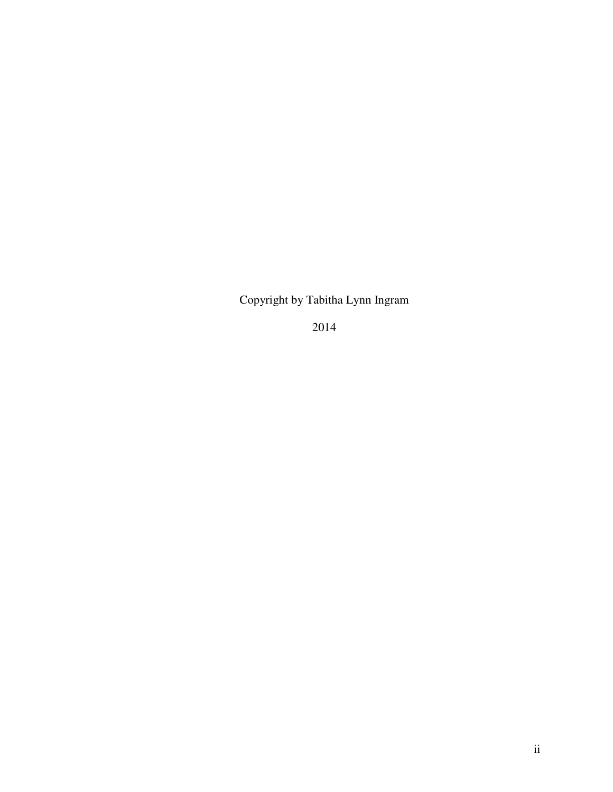Copyright by Tabitha Lynn Ingram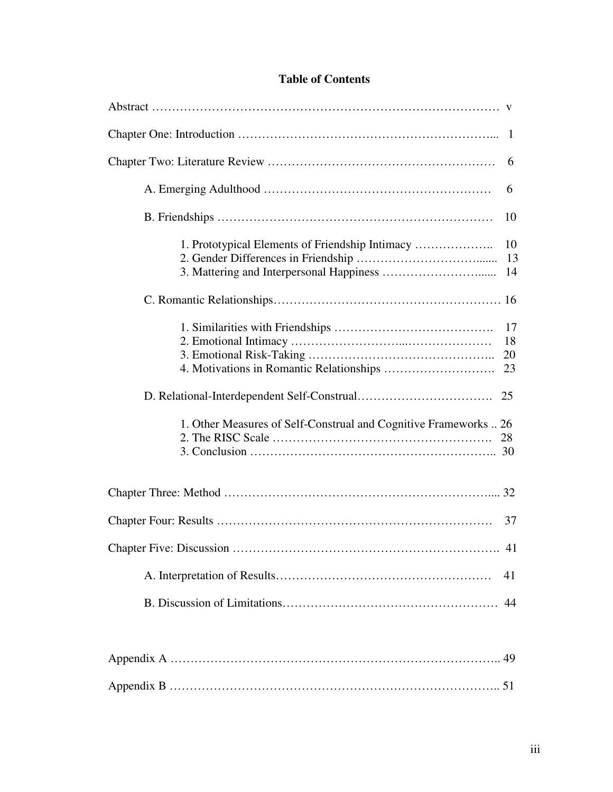| -1                                                                                       |
|------------------------------------------------------------------------------------------|
| 6                                                                                        |
| 6                                                                                        |
| 10                                                                                       |
| 1. Prototypical Elements of Friendship Intimacy<br>10<br>13<br>14                        |
|                                                                                          |
| 17<br>18<br>20<br>23<br>1. Other Measures of Self-Construal and Cognitive Frameworks  26 |
|                                                                                          |
| 37                                                                                       |
| 41                                                                                       |
| 41                                                                                       |
| 44                                                                                       |

# **Table of Contents**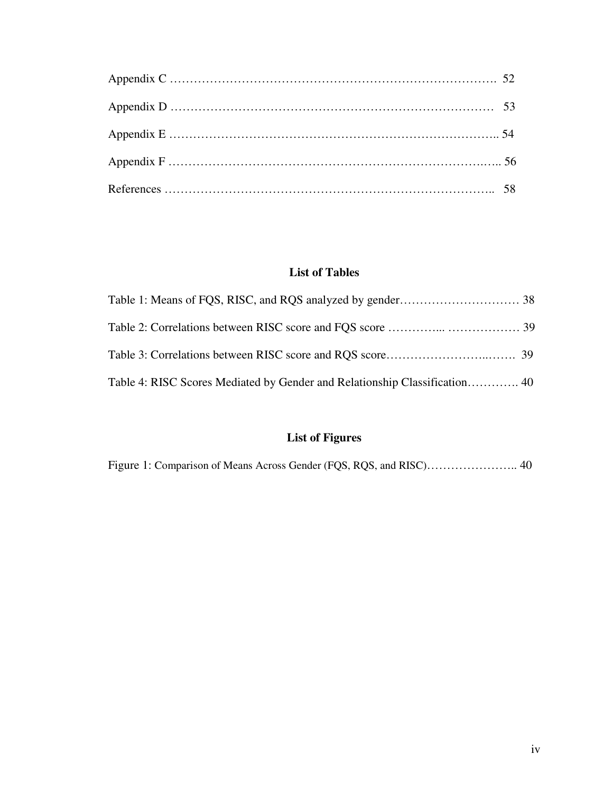# **List of Tables**

# **List of Figures**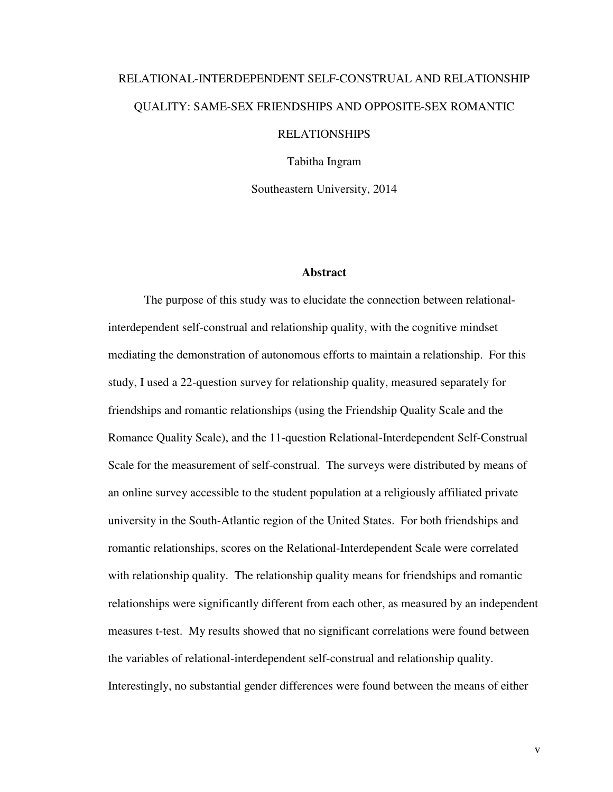# RELATIONAL-INTERDEPENDENT SELF-CONSTRUAL AND RELATIONSHIP QUALITY: SAME-SEX FRIENDSHIPS AND OPPOSITE-SEX ROMANTIC RELATIONSHIPS

Tabitha Ingram

Southeastern University, 2014

#### **Abstract**

 The purpose of this study was to elucidate the connection between relationalinterdependent self-construal and relationship quality, with the cognitive mindset mediating the demonstration of autonomous efforts to maintain a relationship. For this study, I used a 22-question survey for relationship quality, measured separately for friendships and romantic relationships (using the Friendship Quality Scale and the Romance Quality Scale), and the 11-question Relational-Interdependent Self-Construal Scale for the measurement of self-construal. The surveys were distributed by means of an online survey accessible to the student population at a religiously affiliated private university in the South-Atlantic region of the United States. For both friendships and romantic relationships, scores on the Relational-Interdependent Scale were correlated with relationship quality. The relationship quality means for friendships and romantic relationships were significantly different from each other, as measured by an independent measures t-test. My results showed that no significant correlations were found between the variables of relational-interdependent self-construal and relationship quality. Interestingly, no substantial gender differences were found between the means of either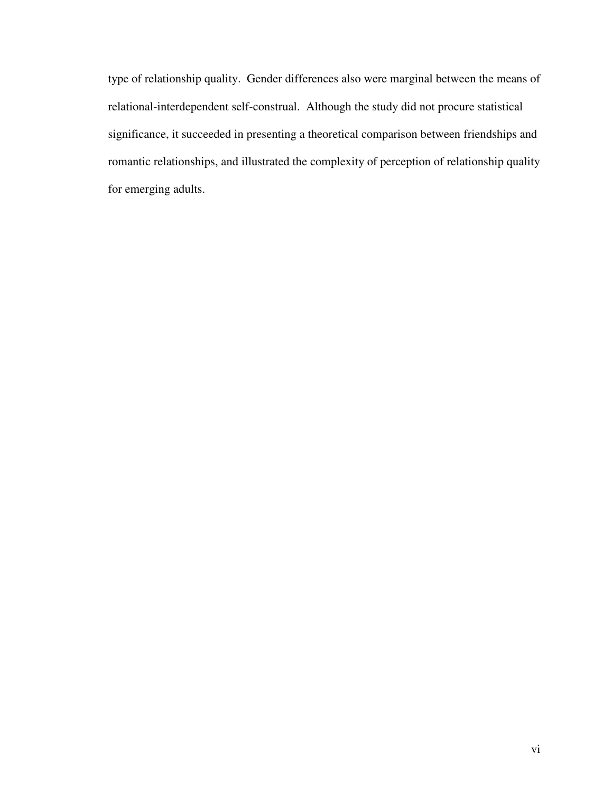type of relationship quality. Gender differences also were marginal between the means of relational-interdependent self-construal. Although the study did not procure statistical significance, it succeeded in presenting a theoretical comparison between friendships and romantic relationships, and illustrated the complexity of perception of relationship quality for emerging adults.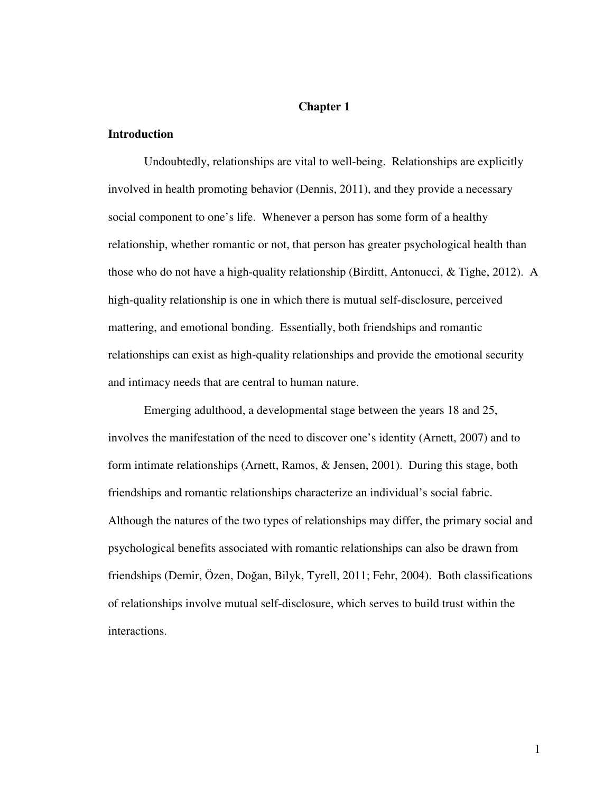# **Chapter 1**

# **Introduction**

 Undoubtedly, relationships are vital to well-being. Relationships are explicitly involved in health promoting behavior (Dennis, 2011), and they provide a necessary social component to one's life. Whenever a person has some form of a healthy relationship, whether romantic or not, that person has greater psychological health than those who do not have a high-quality relationship (Birditt, Antonucci, & Tighe, 2012). A high-quality relationship is one in which there is mutual self-disclosure, perceived mattering, and emotional bonding. Essentially, both friendships and romantic relationships can exist as high-quality relationships and provide the emotional security and intimacy needs that are central to human nature.

 Emerging adulthood, a developmental stage between the years 18 and 25, involves the manifestation of the need to discover one's identity (Arnett, 2007) and to form intimate relationships (Arnett, Ramos, & Jensen, 2001). During this stage, both friendships and romantic relationships characterize an individual's social fabric. Although the natures of the two types of relationships may differ, the primary social and psychological benefits associated with romantic relationships can also be drawn from friendships (Demir, Özen, Doğan, Bilyk, Tyrell, 2011; Fehr, 2004). Both classifications of relationships involve mutual self-disclosure, which serves to build trust within the interactions.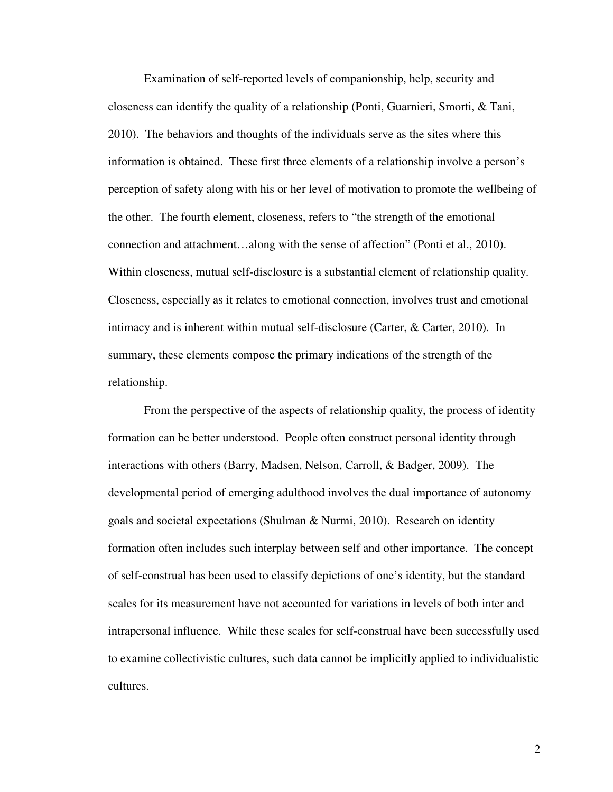Examination of self-reported levels of companionship, help, security and closeness can identify the quality of a relationship (Ponti, Guarnieri, Smorti, & Tani, 2010). The behaviors and thoughts of the individuals serve as the sites where this information is obtained. These first three elements of a relationship involve a person's perception of safety along with his or her level of motivation to promote the wellbeing of the other. The fourth element, closeness, refers to "the strength of the emotional connection and attachment…along with the sense of affection" (Ponti et al., 2010). Within closeness, mutual self-disclosure is a substantial element of relationship quality. Closeness, especially as it relates to emotional connection, involves trust and emotional intimacy and is inherent within mutual self-disclosure (Carter, & Carter, 2010). In summary, these elements compose the primary indications of the strength of the relationship.

 From the perspective of the aspects of relationship quality, the process of identity formation can be better understood. People often construct personal identity through interactions with others (Barry, Madsen, Nelson, Carroll, & Badger, 2009). The developmental period of emerging adulthood involves the dual importance of autonomy goals and societal expectations (Shulman & Nurmi, 2010). Research on identity formation often includes such interplay between self and other importance. The concept of self-construal has been used to classify depictions of one's identity, but the standard scales for its measurement have not accounted for variations in levels of both inter and intrapersonal influence. While these scales for self-construal have been successfully used to examine collectivistic cultures, such data cannot be implicitly applied to individualistic cultures.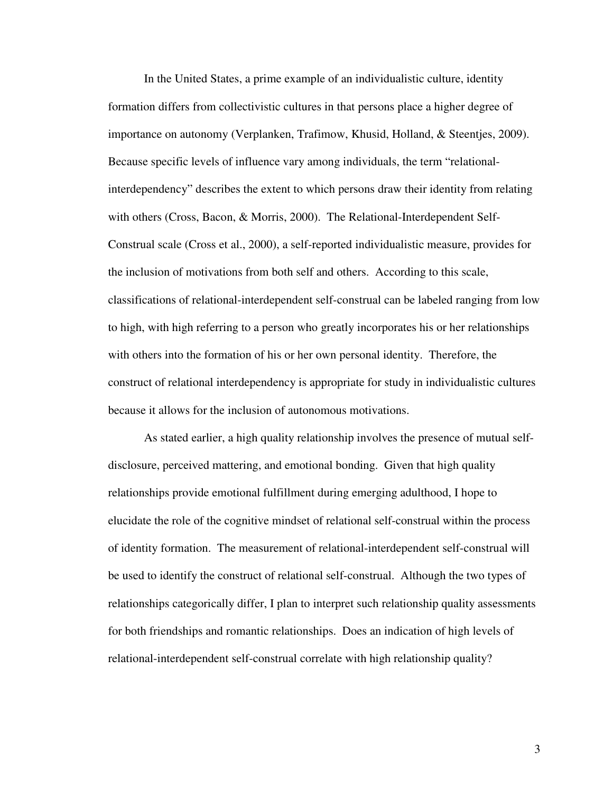In the United States, a prime example of an individualistic culture, identity formation differs from collectivistic cultures in that persons place a higher degree of importance on autonomy (Verplanken, Trafimow, Khusid, Holland, & Steentjes, 2009). Because specific levels of influence vary among individuals, the term "relationalinterdependency" describes the extent to which persons draw their identity from relating with others (Cross, Bacon, & Morris, 2000). The Relational-Interdependent Self-Construal scale (Cross et al., 2000), a self-reported individualistic measure, provides for the inclusion of motivations from both self and others. According to this scale, classifications of relational-interdependent self-construal can be labeled ranging from low to high, with high referring to a person who greatly incorporates his or her relationships with others into the formation of his or her own personal identity. Therefore, the construct of relational interdependency is appropriate for study in individualistic cultures because it allows for the inclusion of autonomous motivations.

 As stated earlier, a high quality relationship involves the presence of mutual selfdisclosure, perceived mattering, and emotional bonding. Given that high quality relationships provide emotional fulfillment during emerging adulthood, I hope to elucidate the role of the cognitive mindset of relational self-construal within the process of identity formation. The measurement of relational-interdependent self-construal will be used to identify the construct of relational self-construal. Although the two types of relationships categorically differ, I plan to interpret such relationship quality assessments for both friendships and romantic relationships. Does an indication of high levels of relational-interdependent self-construal correlate with high relationship quality?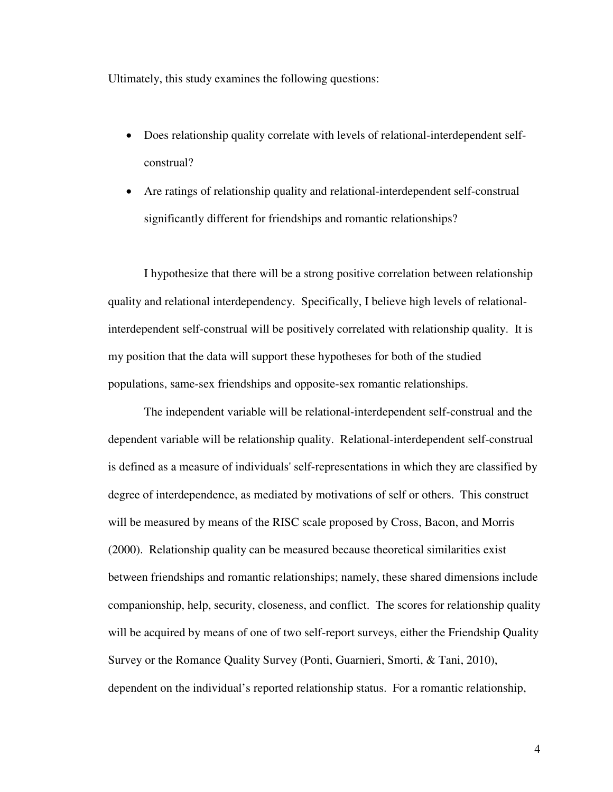Ultimately, this study examines the following questions:

- Does relationship quality correlate with levels of relational-interdependent selfconstrual?
- Are ratings of relationship quality and relational-interdependent self-construal significantly different for friendships and romantic relationships?

 I hypothesize that there will be a strong positive correlation between relationship quality and relational interdependency. Specifically, I believe high levels of relationalinterdependent self-construal will be positively correlated with relationship quality. It is my position that the data will support these hypotheses for both of the studied populations, same-sex friendships and opposite-sex romantic relationships.

 The independent variable will be relational-interdependent self-construal and the dependent variable will be relationship quality. Relational-interdependent self-construal is defined as a measure of individuals' self-representations in which they are classified by degree of interdependence, as mediated by motivations of self or others. This construct will be measured by means of the RISC scale proposed by Cross, Bacon, and Morris (2000). Relationship quality can be measured because theoretical similarities exist between friendships and romantic relationships; namely, these shared dimensions include companionship, help, security, closeness, and conflict. The scores for relationship quality will be acquired by means of one of two self-report surveys, either the Friendship Quality Survey or the Romance Quality Survey (Ponti, Guarnieri, Smorti, & Tani, 2010), dependent on the individual's reported relationship status. For a romantic relationship,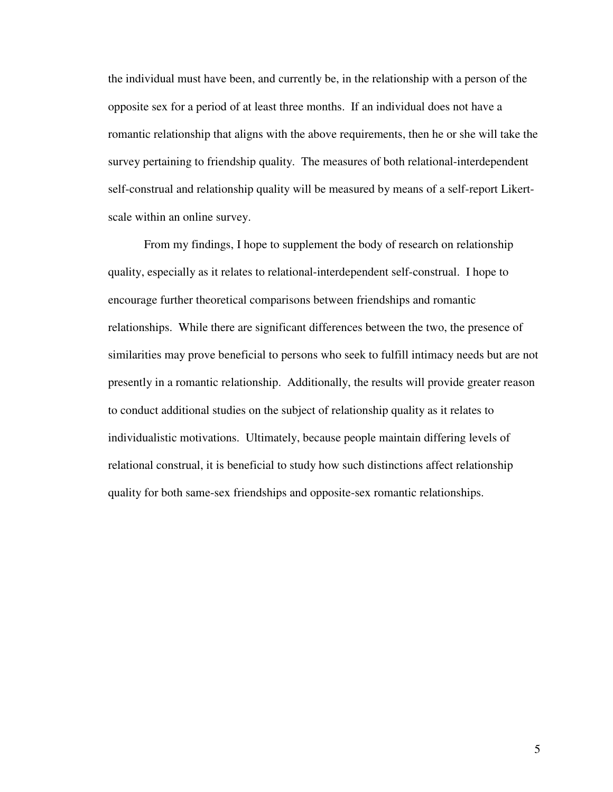the individual must have been, and currently be, in the relationship with a person of the opposite sex for a period of at least three months. If an individual does not have a romantic relationship that aligns with the above requirements, then he or she will take the survey pertaining to friendship quality. The measures of both relational-interdependent self-construal and relationship quality will be measured by means of a self-report Likertscale within an online survey.

 From my findings, I hope to supplement the body of research on relationship quality, especially as it relates to relational-interdependent self-construal. I hope to encourage further theoretical comparisons between friendships and romantic relationships. While there are significant differences between the two, the presence of similarities may prove beneficial to persons who seek to fulfill intimacy needs but are not presently in a romantic relationship. Additionally, the results will provide greater reason to conduct additional studies on the subject of relationship quality as it relates to individualistic motivations. Ultimately, because people maintain differing levels of relational construal, it is beneficial to study how such distinctions affect relationship quality for both same-sex friendships and opposite-sex romantic relationships.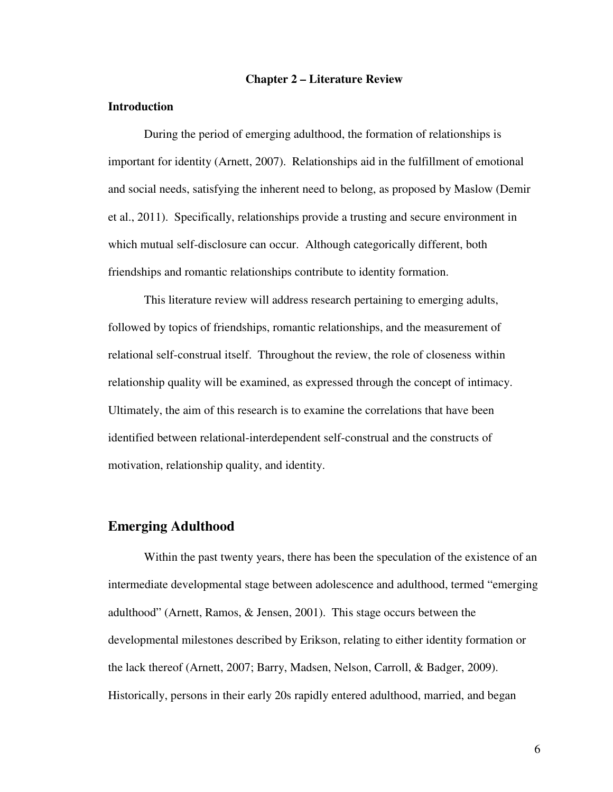#### **Chapter 2 – Literature Review**

#### **Introduction**

During the period of emerging adulthood, the formation of relationships is important for identity (Arnett, 2007). Relationships aid in the fulfillment of emotional and social needs, satisfying the inherent need to belong, as proposed by Maslow (Demir et al., 2011). Specifically, relationships provide a trusting and secure environment in which mutual self-disclosure can occur. Although categorically different, both friendships and romantic relationships contribute to identity formation.

 This literature review will address research pertaining to emerging adults, followed by topics of friendships, romantic relationships, and the measurement of relational self-construal itself. Throughout the review, the role of closeness within relationship quality will be examined, as expressed through the concept of intimacy. Ultimately, the aim of this research is to examine the correlations that have been identified between relational-interdependent self-construal and the constructs of motivation, relationship quality, and identity.

# **Emerging Adulthood**

 Within the past twenty years, there has been the speculation of the existence of an intermediate developmental stage between adolescence and adulthood, termed "emerging adulthood" (Arnett, Ramos, & Jensen, 2001). This stage occurs between the developmental milestones described by Erikson, relating to either identity formation or the lack thereof (Arnett, 2007; Barry, Madsen, Nelson, Carroll, & Badger, 2009). Historically, persons in their early 20s rapidly entered adulthood, married, and began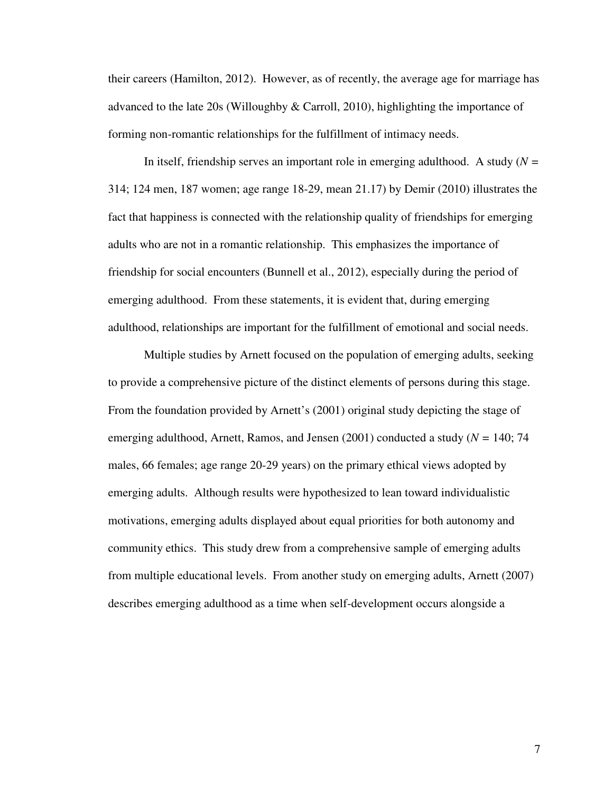their careers (Hamilton, 2012). However, as of recently, the average age for marriage has advanced to the late 20s (Willoughby & Carroll, 2010), highlighting the importance of forming non-romantic relationships for the fulfillment of intimacy needs.

 In itself, friendship serves an important role in emerging adulthood. A study (*N =*  314; 124 men, 187 women; age range 18-29, mean 21.17) by Demir (2010) illustrates the fact that happiness is connected with the relationship quality of friendships for emerging adults who are not in a romantic relationship. This emphasizes the importance of friendship for social encounters (Bunnell et al., 2012), especially during the period of emerging adulthood. From these statements, it is evident that, during emerging adulthood, relationships are important for the fulfillment of emotional and social needs.

 Multiple studies by Arnett focused on the population of emerging adults, seeking to provide a comprehensive picture of the distinct elements of persons during this stage. From the foundation provided by Arnett's (2001) original study depicting the stage of emerging adulthood, Arnett, Ramos, and Jensen (2001) conducted a study (*N =* 140; 74 males, 66 females; age range 20-29 years) on the primary ethical views adopted by emerging adults. Although results were hypothesized to lean toward individualistic motivations, emerging adults displayed about equal priorities for both autonomy and community ethics. This study drew from a comprehensive sample of emerging adults from multiple educational levels. From another study on emerging adults, Arnett (2007) describes emerging adulthood as a time when self-development occurs alongside a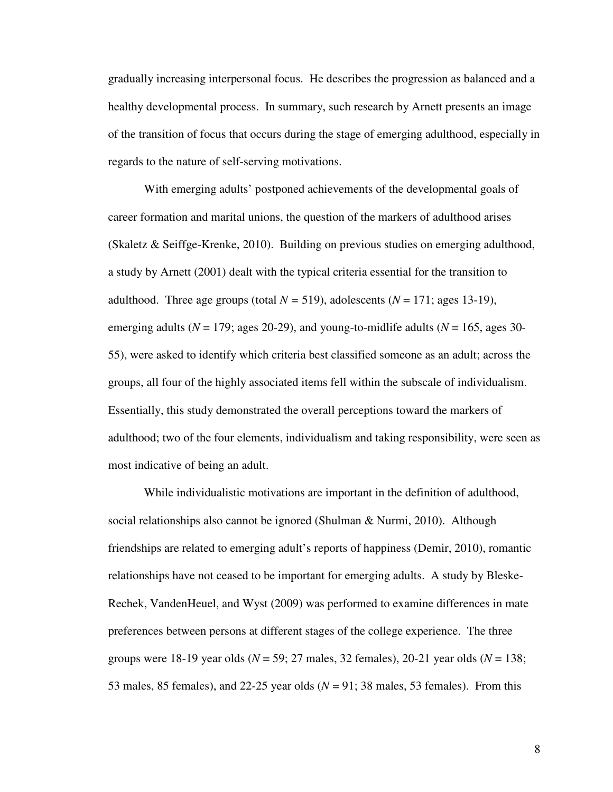gradually increasing interpersonal focus. He describes the progression as balanced and a healthy developmental process. In summary, such research by Arnett presents an image of the transition of focus that occurs during the stage of emerging adulthood, especially in regards to the nature of self-serving motivations.

 With emerging adults' postponed achievements of the developmental goals of career formation and marital unions, the question of the markers of adulthood arises (Skaletz & Seiffge-Krenke, 2010). Building on previous studies on emerging adulthood, a study by Arnett (2001) dealt with the typical criteria essential for the transition to adulthood. Three age groups (total  $N = 519$ ), adolescents ( $N = 171$ ; ages 13-19), emerging adults ( $N = 179$ ; ages 20-29), and young-to-midlife adults ( $N = 165$ , ages 30-55), were asked to identify which criteria best classified someone as an adult; across the groups, all four of the highly associated items fell within the subscale of individualism. Essentially, this study demonstrated the overall perceptions toward the markers of adulthood; two of the four elements, individualism and taking responsibility, were seen as most indicative of being an adult.

 While individualistic motivations are important in the definition of adulthood, social relationships also cannot be ignored (Shulman & Nurmi, 2010). Although friendships are related to emerging adult's reports of happiness (Demir, 2010), romantic relationships have not ceased to be important for emerging adults. A study by Bleske-Rechek, VandenHeuel, and Wyst (2009) was performed to examine differences in mate preferences between persons at different stages of the college experience. The three groups were 18-19 year olds (*N* = 59; 27 males, 32 females), 20-21 year olds (*N* = 138; 53 males, 85 females), and 22-25 year olds (*N* = 91; 38 males, 53 females). From this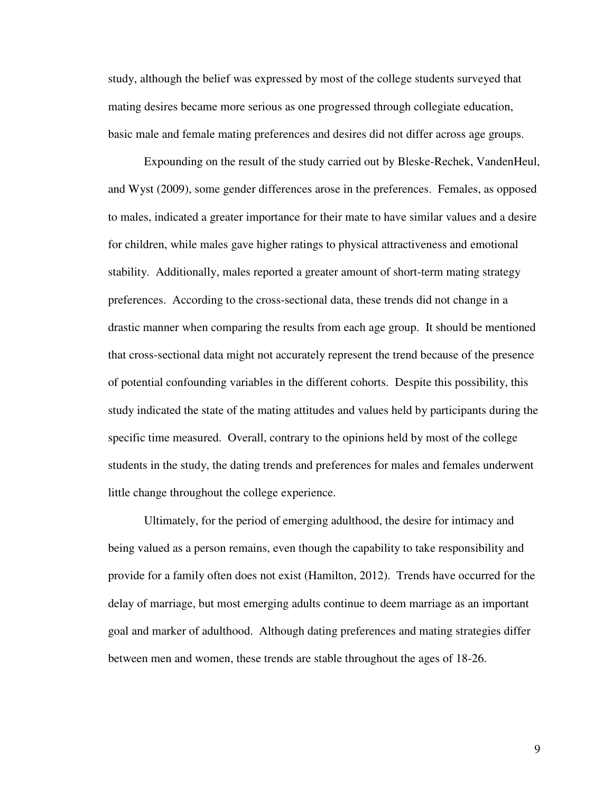study, although the belief was expressed by most of the college students surveyed that mating desires became more serious as one progressed through collegiate education, basic male and female mating preferences and desires did not differ across age groups.

 Expounding on the result of the study carried out by Bleske-Rechek, VandenHeul, and Wyst (2009), some gender differences arose in the preferences. Females, as opposed to males, indicated a greater importance for their mate to have similar values and a desire for children, while males gave higher ratings to physical attractiveness and emotional stability. Additionally, males reported a greater amount of short-term mating strategy preferences. According to the cross-sectional data, these trends did not change in a drastic manner when comparing the results from each age group. It should be mentioned that cross-sectional data might not accurately represent the trend because of the presence of potential confounding variables in the different cohorts. Despite this possibility, this study indicated the state of the mating attitudes and values held by participants during the specific time measured. Overall, contrary to the opinions held by most of the college students in the study, the dating trends and preferences for males and females underwent little change throughout the college experience.

 Ultimately, for the period of emerging adulthood, the desire for intimacy and being valued as a person remains, even though the capability to take responsibility and provide for a family often does not exist (Hamilton, 2012). Trends have occurred for the delay of marriage, but most emerging adults continue to deem marriage as an important goal and marker of adulthood. Although dating preferences and mating strategies differ between men and women, these trends are stable throughout the ages of 18-26.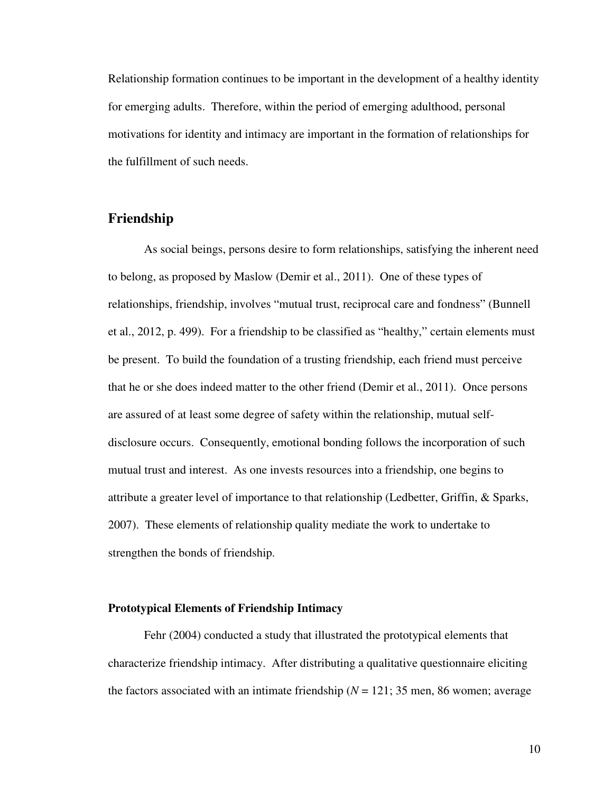Relationship formation continues to be important in the development of a healthy identity for emerging adults. Therefore, within the period of emerging adulthood, personal motivations for identity and intimacy are important in the formation of relationships for the fulfillment of such needs.

# **Friendship**

 As social beings, persons desire to form relationships, satisfying the inherent need to belong, as proposed by Maslow (Demir et al., 2011). One of these types of relationships, friendship, involves "mutual trust, reciprocal care and fondness" (Bunnell et al., 2012, p. 499). For a friendship to be classified as "healthy," certain elements must be present. To build the foundation of a trusting friendship, each friend must perceive that he or she does indeed matter to the other friend (Demir et al., 2011). Once persons are assured of at least some degree of safety within the relationship, mutual selfdisclosure occurs. Consequently, emotional bonding follows the incorporation of such mutual trust and interest. As one invests resources into a friendship, one begins to attribute a greater level of importance to that relationship (Ledbetter, Griffin, & Sparks, 2007). These elements of relationship quality mediate the work to undertake to strengthen the bonds of friendship.

#### **Prototypical Elements of Friendship Intimacy**

 Fehr (2004) conducted a study that illustrated the prototypical elements that characterize friendship intimacy. After distributing a qualitative questionnaire eliciting the factors associated with an intimate friendship  $(N = 121; 35 \text{ men}, 86 \text{ women};$  average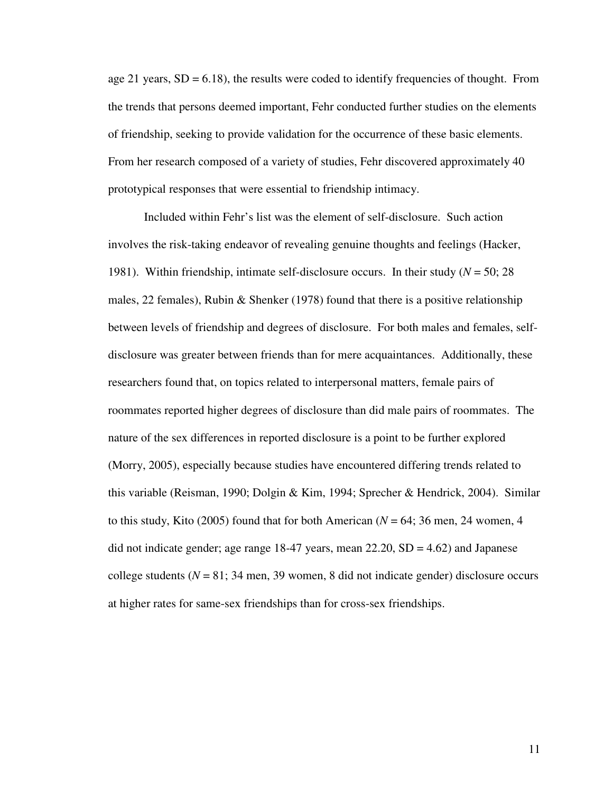age 21 years,  $SD = 6.18$ ), the results were coded to identify frequencies of thought. From the trends that persons deemed important, Fehr conducted further studies on the elements of friendship, seeking to provide validation for the occurrence of these basic elements. From her research composed of a variety of studies, Fehr discovered approximately 40 prototypical responses that were essential to friendship intimacy.

 Included within Fehr's list was the element of self-disclosure. Such action involves the risk-taking endeavor of revealing genuine thoughts and feelings (Hacker, 1981). Within friendship, intimate self-disclosure occurs. In their study (*N* = 50; 28 males, 22 females), Rubin & Shenker (1978) found that there is a positive relationship between levels of friendship and degrees of disclosure. For both males and females, selfdisclosure was greater between friends than for mere acquaintances. Additionally, these researchers found that, on topics related to interpersonal matters, female pairs of roommates reported higher degrees of disclosure than did male pairs of roommates. The nature of the sex differences in reported disclosure is a point to be further explored (Morry, 2005), especially because studies have encountered differing trends related to this variable (Reisman, 1990; Dolgin & Kim, 1994; Sprecher & Hendrick, 2004). Similar to this study, Kito (2005) found that for both American (*N* = 64; 36 men, 24 women, 4 did not indicate gender; age range  $18-47$  years, mean  $22.20$ ,  $SD = 4.62$ ) and Japanese college students ( $N = 81$ ; 34 men, 39 women, 8 did not indicate gender) disclosure occurs at higher rates for same-sex friendships than for cross-sex friendships.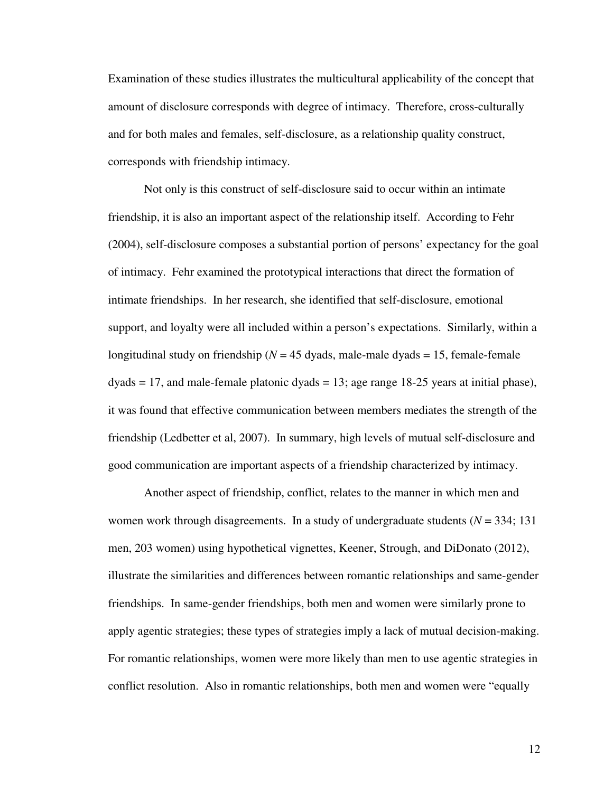Examination of these studies illustrates the multicultural applicability of the concept that amount of disclosure corresponds with degree of intimacy. Therefore, cross-culturally and for both males and females, self-disclosure, as a relationship quality construct, corresponds with friendship intimacy.

 Not only is this construct of self-disclosure said to occur within an intimate friendship, it is also an important aspect of the relationship itself. According to Fehr (2004), self-disclosure composes a substantial portion of persons' expectancy for the goal of intimacy. Fehr examined the prototypical interactions that direct the formation of intimate friendships. In her research, she identified that self-disclosure, emotional support, and loyalty were all included within a person's expectations. Similarly, within a longitudinal study on friendship ( $N = 45$  dyads, male-male dyads  $= 15$ , female-female  $dyads = 17$ , and male-female platonic  $dyads = 13$ ; age range  $18-25$  years at initial phase), it was found that effective communication between members mediates the strength of the friendship (Ledbetter et al, 2007). In summary, high levels of mutual self-disclosure and good communication are important aspects of a friendship characterized by intimacy.

 Another aspect of friendship, conflict, relates to the manner in which men and women work through disagreements. In a study of undergraduate students (*N* = 334; 131 men, 203 women) using hypothetical vignettes, Keener, Strough, and DiDonato (2012), illustrate the similarities and differences between romantic relationships and same-gender friendships. In same-gender friendships, both men and women were similarly prone to apply agentic strategies; these types of strategies imply a lack of mutual decision-making. For romantic relationships, women were more likely than men to use agentic strategies in conflict resolution. Also in romantic relationships, both men and women were "equally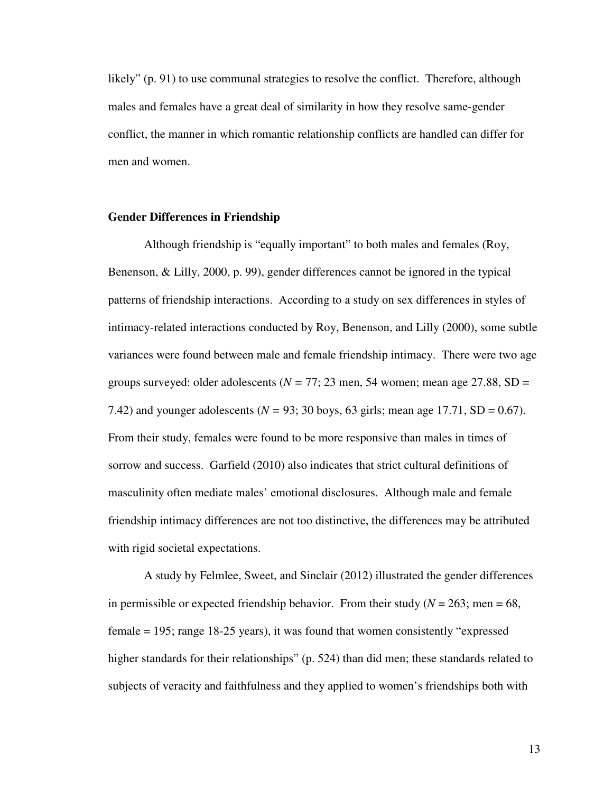likely" (p. 91) to use communal strategies to resolve the conflict. Therefore, although males and females have a great deal of similarity in how they resolve same-gender conflict, the manner in which romantic relationship conflicts are handled can differ for men and women.

#### **Gender Differences in Friendship**

 Although friendship is "equally important" to both males and females (Roy, Benenson, & Lilly, 2000, p. 99), gender differences cannot be ignored in the typical patterns of friendship interactions. According to a study on sex differences in styles of intimacy-related interactions conducted by Roy, Benenson, and Lilly (2000), some subtle variances were found between male and female friendship intimacy. There were two age groups surveyed: older adolescents ( $N = 77$ ; 23 men, 54 women; mean age 27.88, SD = 7.42) and younger adolescents ( $N = 93$ ; 30 boys, 63 girls; mean age 17.71, SD = 0.67). From their study, females were found to be more responsive than males in times of sorrow and success. Garfield (2010) also indicates that strict cultural definitions of masculinity often mediate males' emotional disclosures. Although male and female friendship intimacy differences are not too distinctive, the differences may be attributed with rigid societal expectations.

 A study by Felmlee, Sweet, and Sinclair (2012) illustrated the gender differences in permissible or expected friendship behavior. From their study ( $N = 263$ ; men = 68, female = 195; range 18-25 years), it was found that women consistently "expressed higher standards for their relationships" (p. 524) than did men; these standards related to subjects of veracity and faithfulness and they applied to women's friendships both with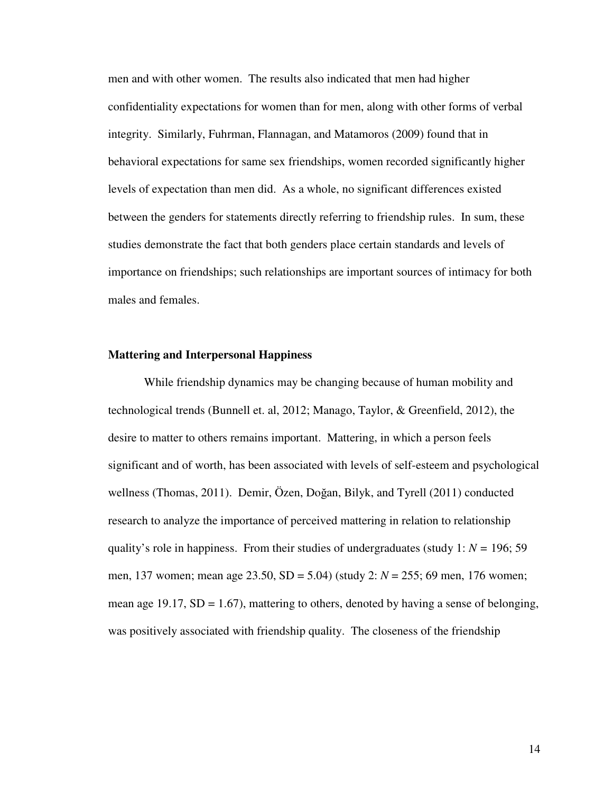men and with other women. The results also indicated that men had higher confidentiality expectations for women than for men, along with other forms of verbal integrity. Similarly, Fuhrman, Flannagan, and Matamoros (2009) found that in behavioral expectations for same sex friendships, women recorded significantly higher levels of expectation than men did. As a whole, no significant differences existed between the genders for statements directly referring to friendship rules. In sum, these studies demonstrate the fact that both genders place certain standards and levels of importance on friendships; such relationships are important sources of intimacy for both males and females.

#### **Mattering and Interpersonal Happiness**

 While friendship dynamics may be changing because of human mobility and technological trends (Bunnell et. al, 2012; Manago, Taylor, & Greenfield, 2012), the desire to matter to others remains important. Mattering, in which a person feels significant and of worth, has been associated with levels of self-esteem and psychological wellness (Thomas, 2011). Demir, Özen, Doğan, Bilyk, and Tyrell (2011) conducted research to analyze the importance of perceived mattering in relation to relationship quality's role in happiness. From their studies of undergraduates (study  $1: N = 196; 59$ ) men, 137 women; mean age 23.50, SD = 5.04) (study 2: *N* = 255; 69 men, 176 women; mean age 19.17,  $SD = 1.67$ ), mattering to others, denoted by having a sense of belonging, was positively associated with friendship quality. The closeness of the friendship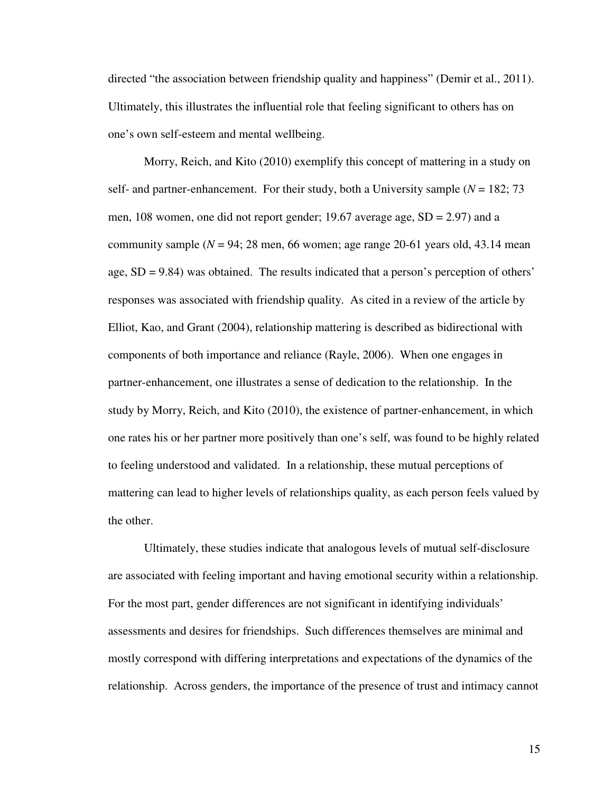directed "the association between friendship quality and happiness" (Demir et al., 2011). Ultimately, this illustrates the influential role that feeling significant to others has on one's own self-esteem and mental wellbeing.

 Morry, Reich, and Kito (2010) exemplify this concept of mattering in a study on self- and partner-enhancement. For their study, both a University sample  $(N = 182, 73)$ men, 108 women, one did not report gender; 19.67 average age, SD = 2.97) and a community sample  $(N = 94; 28$  men, 66 women; age range 20-61 years old, 43.14 mean age, SD = 9.84) was obtained. The results indicated that a person's perception of others' responses was associated with friendship quality. As cited in a review of the article by Elliot, Kao, and Grant (2004), relationship mattering is described as bidirectional with components of both importance and reliance (Rayle, 2006). When one engages in partner-enhancement, one illustrates a sense of dedication to the relationship. In the study by Morry, Reich, and Kito (2010), the existence of partner-enhancement, in which one rates his or her partner more positively than one's self, was found to be highly related to feeling understood and validated. In a relationship, these mutual perceptions of mattering can lead to higher levels of relationships quality, as each person feels valued by the other.

 Ultimately, these studies indicate that analogous levels of mutual self-disclosure are associated with feeling important and having emotional security within a relationship. For the most part, gender differences are not significant in identifying individuals' assessments and desires for friendships. Such differences themselves are minimal and mostly correspond with differing interpretations and expectations of the dynamics of the relationship. Across genders, the importance of the presence of trust and intimacy cannot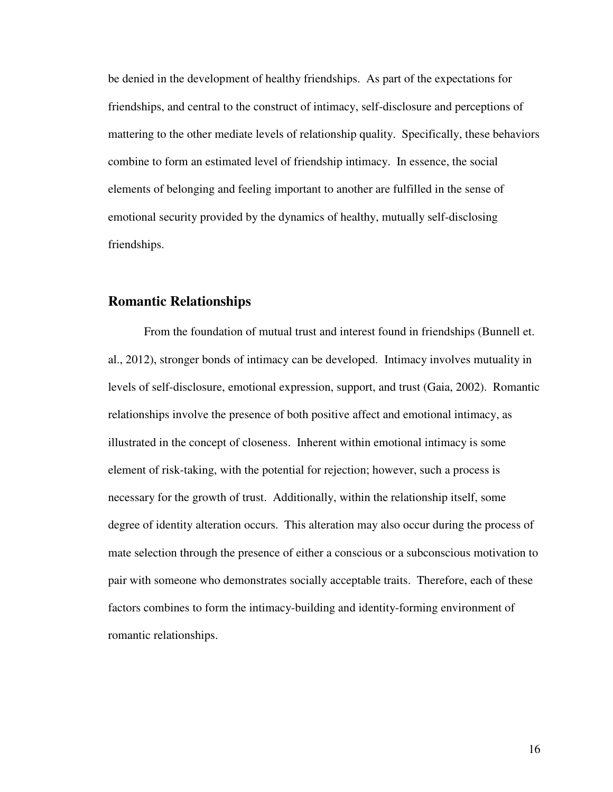be denied in the development of healthy friendships. As part of the expectations for friendships, and central to the construct of intimacy, self-disclosure and perceptions of mattering to the other mediate levels of relationship quality. Specifically, these behaviors combine to form an estimated level of friendship intimacy. In essence, the social elements of belonging and feeling important to another are fulfilled in the sense of emotional security provided by the dynamics of healthy, mutually self-disclosing friendships.

## **Romantic Relationships**

 From the foundation of mutual trust and interest found in friendships (Bunnell et. al., 2012), stronger bonds of intimacy can be developed. Intimacy involves mutuality in levels of self-disclosure, emotional expression, support, and trust (Gaia, 2002). Romantic relationships involve the presence of both positive affect and emotional intimacy, as illustrated in the concept of closeness. Inherent within emotional intimacy is some element of risk-taking, with the potential for rejection; however, such a process is necessary for the growth of trust. Additionally, within the relationship itself, some degree of identity alteration occurs. This alteration may also occur during the process of mate selection through the presence of either a conscious or a subconscious motivation to pair with someone who demonstrates socially acceptable traits. Therefore, each of these factors combines to form the intimacy-building and identity-forming environment of romantic relationships.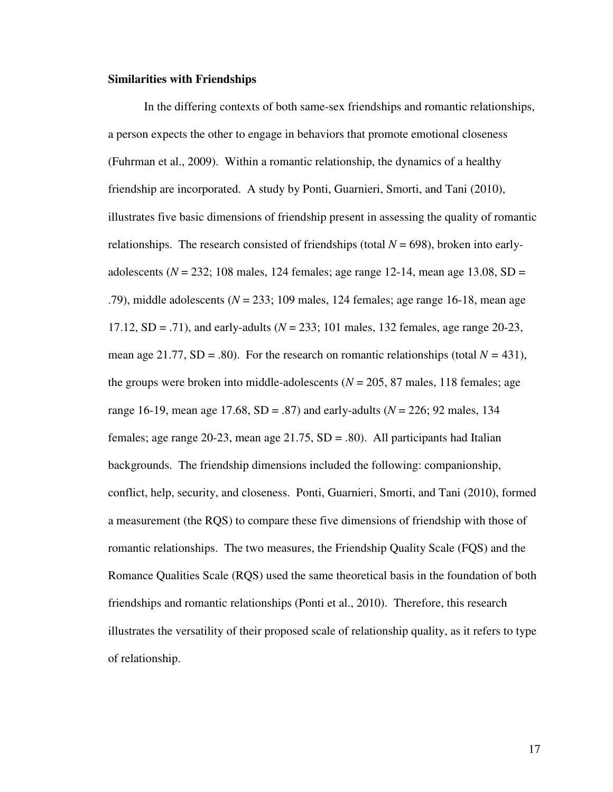#### **Similarities with Friendships**

 In the differing contexts of both same-sex friendships and romantic relationships, a person expects the other to engage in behaviors that promote emotional closeness (Fuhrman et al., 2009). Within a romantic relationship, the dynamics of a healthy friendship are incorporated. A study by Ponti, Guarnieri, Smorti, and Tani (2010), illustrates five basic dimensions of friendship present in assessing the quality of romantic relationships. The research consisted of friendships (total  $N = 698$ ), broken into earlyadolescents ( $N = 232$ ; 108 males, 124 females; age range 12-14, mean age 13.08, SD = .79), middle adolescents (*N* = 233; 109 males, 124 females; age range 16-18, mean age 17.12, SD = .71), and early-adults (*N* = 233; 101 males, 132 females, age range 20-23, mean age 21.77,  $SD = .80$ ). For the research on romantic relationships (total  $N = 431$ ), the groups were broken into middle-adolescents ( $N = 205$ , 87 males, 118 females; age range 16-19, mean age 17.68, SD = .87) and early-adults (*N* = 226; 92 males, 134 females; age range 20-23, mean age  $21.75$ ,  $SD = .80$ ). All participants had Italian backgrounds. The friendship dimensions included the following: companionship, conflict, help, security, and closeness. Ponti, Guarnieri, Smorti, and Tani (2010), formed a measurement (the RQS) to compare these five dimensions of friendship with those of romantic relationships. The two measures, the Friendship Quality Scale (FQS) and the Romance Qualities Scale (RQS) used the same theoretical basis in the foundation of both friendships and romantic relationships (Ponti et al., 2010). Therefore, this research illustrates the versatility of their proposed scale of relationship quality, as it refers to type of relationship.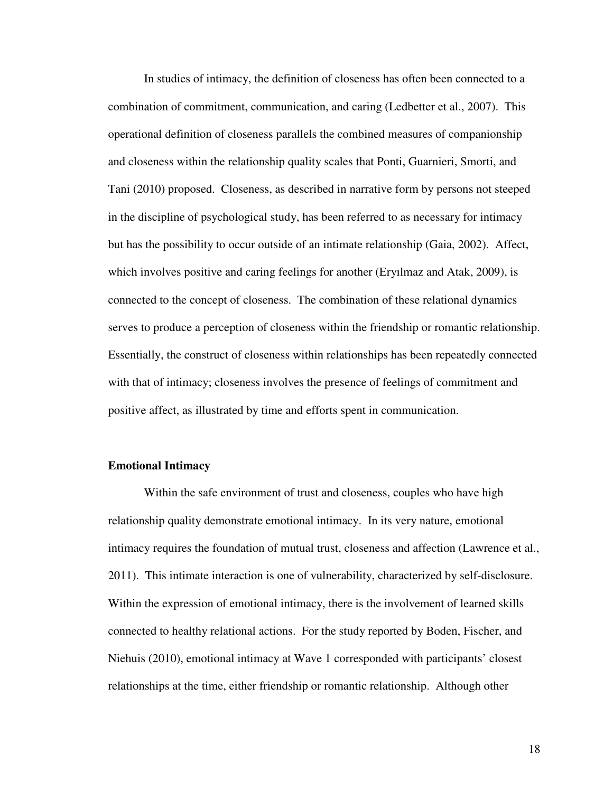In studies of intimacy, the definition of closeness has often been connected to a combination of commitment, communication, and caring (Ledbetter et al., 2007). This operational definition of closeness parallels the combined measures of companionship and closeness within the relationship quality scales that Ponti, Guarnieri, Smorti, and Tani (2010) proposed. Closeness, as described in narrative form by persons not steeped in the discipline of psychological study, has been referred to as necessary for intimacy but has the possibility to occur outside of an intimate relationship (Gaia, 2002). Affect, which involves positive and caring feelings for another (Eryılmaz and Atak, 2009), is connected to the concept of closeness. The combination of these relational dynamics serves to produce a perception of closeness within the friendship or romantic relationship. Essentially, the construct of closeness within relationships has been repeatedly connected with that of intimacy; closeness involves the presence of feelings of commitment and positive affect, as illustrated by time and efforts spent in communication.

#### **Emotional Intimacy**

 Within the safe environment of trust and closeness, couples who have high relationship quality demonstrate emotional intimacy. In its very nature, emotional intimacy requires the foundation of mutual trust, closeness and affection (Lawrence et al., 2011). This intimate interaction is one of vulnerability, characterized by self-disclosure. Within the expression of emotional intimacy, there is the involvement of learned skills connected to healthy relational actions. For the study reported by Boden, Fischer, and Niehuis (2010), emotional intimacy at Wave 1 corresponded with participants' closest relationships at the time, either friendship or romantic relationship. Although other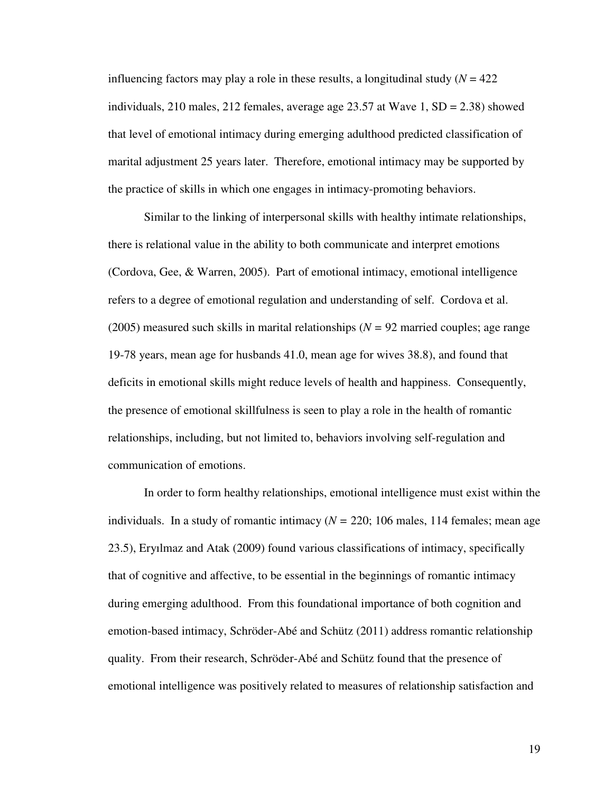influencing factors may play a role in these results, a longitudinal study  $(N = 422)$ individuals, 210 males, 212 females, average age 23.57 at Wave 1, SD = 2.38) showed that level of emotional intimacy during emerging adulthood predicted classification of marital adjustment 25 years later. Therefore, emotional intimacy may be supported by the practice of skills in which one engages in intimacy-promoting behaviors.

 Similar to the linking of interpersonal skills with healthy intimate relationships, there is relational value in the ability to both communicate and interpret emotions (Cordova, Gee, & Warren, 2005). Part of emotional intimacy, emotional intelligence refers to a degree of emotional regulation and understanding of self. Cordova et al. (2005) measured such skills in marital relationships (*N =* 92 married couples; age range 19-78 years, mean age for husbands 41.0, mean age for wives 38.8), and found that deficits in emotional skills might reduce levels of health and happiness. Consequently, the presence of emotional skillfulness is seen to play a role in the health of romantic relationships, including, but not limited to, behaviors involving self-regulation and communication of emotions.

 In order to form healthy relationships, emotional intelligence must exist within the individuals. In a study of romantic intimacy (*N =* 220; 106 males, 114 females; mean age 23.5), Eryılmaz and Atak (2009) found various classifications of intimacy, specifically that of cognitive and affective, to be essential in the beginnings of romantic intimacy during emerging adulthood. From this foundational importance of both cognition and emotion-based intimacy, Schröder-Abé and Schütz (2011) address romantic relationship quality. From their research, Schröder-Abé and Schütz found that the presence of emotional intelligence was positively related to measures of relationship satisfaction and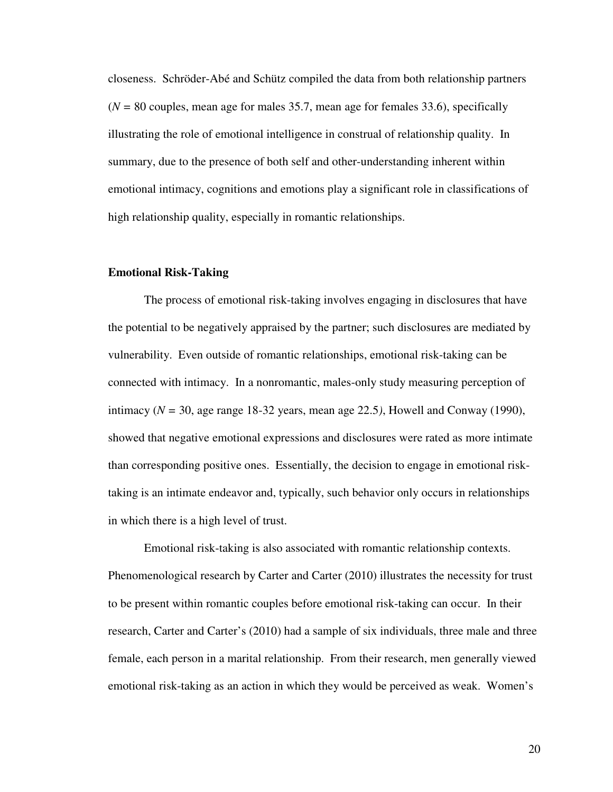closeness. Schröder-Abé and Schütz compiled the data from both relationship partners (*N =* 80 couples, mean age for males 35.7, mean age for females 33.6), specifically illustrating the role of emotional intelligence in construal of relationship quality. In summary, due to the presence of both self and other-understanding inherent within emotional intimacy, cognitions and emotions play a significant role in classifications of high relationship quality, especially in romantic relationships.

#### **Emotional Risk-Taking**

 The process of emotional risk-taking involves engaging in disclosures that have the potential to be negatively appraised by the partner; such disclosures are mediated by vulnerability. Even outside of romantic relationships, emotional risk-taking can be connected with intimacy. In a nonromantic, males-only study measuring perception of intimacy ( $N = 30$ , age range 18-32 years, mean age 22.5), Howell and Conway (1990), showed that negative emotional expressions and disclosures were rated as more intimate than corresponding positive ones. Essentially, the decision to engage in emotional risktaking is an intimate endeavor and, typically, such behavior only occurs in relationships in which there is a high level of trust.

 Emotional risk-taking is also associated with romantic relationship contexts. Phenomenological research by Carter and Carter (2010) illustrates the necessity for trust to be present within romantic couples before emotional risk-taking can occur. In their research, Carter and Carter's (2010) had a sample of six individuals, three male and three female, each person in a marital relationship. From their research, men generally viewed emotional risk-taking as an action in which they would be perceived as weak. Women's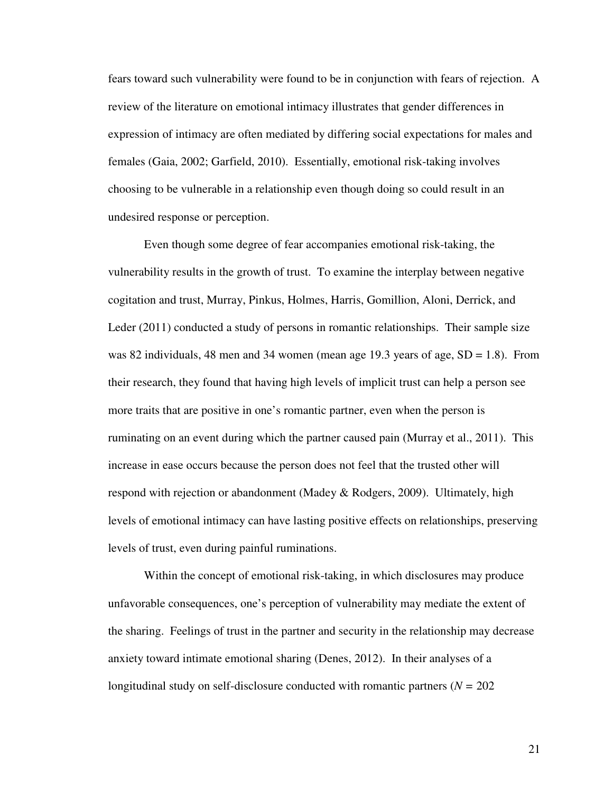fears toward such vulnerability were found to be in conjunction with fears of rejection. A review of the literature on emotional intimacy illustrates that gender differences in expression of intimacy are often mediated by differing social expectations for males and females (Gaia, 2002; Garfield, 2010). Essentially, emotional risk-taking involves choosing to be vulnerable in a relationship even though doing so could result in an undesired response or perception.

 Even though some degree of fear accompanies emotional risk-taking, the vulnerability results in the growth of trust. To examine the interplay between negative cogitation and trust, Murray, Pinkus, Holmes, Harris, Gomillion, Aloni, Derrick, and Leder (2011) conducted a study of persons in romantic relationships. Their sample size was 82 individuals, 48 men and 34 women (mean age 19.3 years of age, SD = 1.8). From their research, they found that having high levels of implicit trust can help a person see more traits that are positive in one's romantic partner, even when the person is ruminating on an event during which the partner caused pain (Murray et al., 2011). This increase in ease occurs because the person does not feel that the trusted other will respond with rejection or abandonment (Madey & Rodgers, 2009). Ultimately, high levels of emotional intimacy can have lasting positive effects on relationships, preserving levels of trust, even during painful ruminations.

 Within the concept of emotional risk-taking, in which disclosures may produce unfavorable consequences, one's perception of vulnerability may mediate the extent of the sharing. Feelings of trust in the partner and security in the relationship may decrease anxiety toward intimate emotional sharing (Denes, 2012). In their analyses of a longitudinal study on self-disclosure conducted with romantic partners (*N =* 202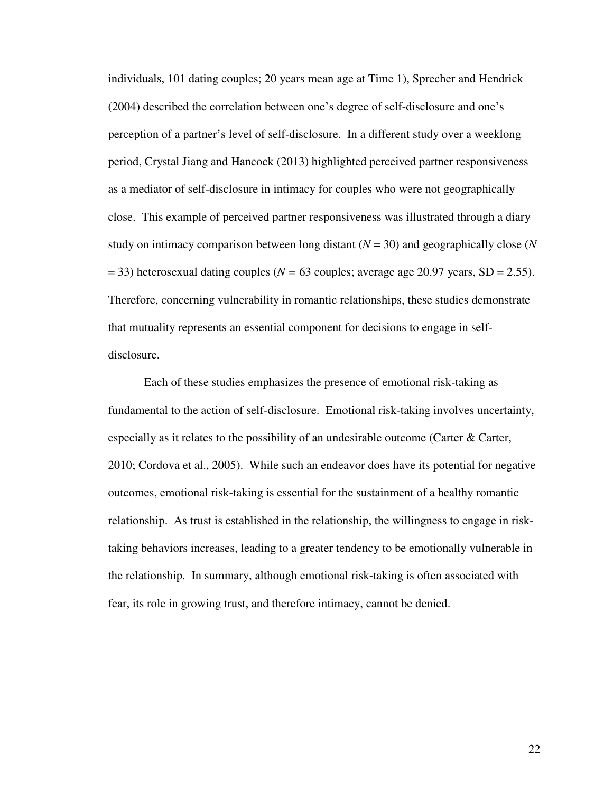individuals, 101 dating couples; 20 years mean age at Time 1), Sprecher and Hendrick (2004) described the correlation between one's degree of self-disclosure and one's perception of a partner's level of self-disclosure. In a different study over a weeklong period, Crystal Jiang and Hancock (2013) highlighted perceived partner responsiveness as a mediator of self-disclosure in intimacy for couples who were not geographically close. This example of perceived partner responsiveness was illustrated through a diary study on intimacy comparison between long distant (*N* = 30) and geographically close (*N*  = 33) heterosexual dating couples (*N =* 63 couples; average age 20.97 years, SD = 2.55). Therefore, concerning vulnerability in romantic relationships, these studies demonstrate that mutuality represents an essential component for decisions to engage in selfdisclosure.

 Each of these studies emphasizes the presence of emotional risk-taking as fundamental to the action of self-disclosure. Emotional risk-taking involves uncertainty, especially as it relates to the possibility of an undesirable outcome (Carter  $\&$  Carter, 2010; Cordova et al., 2005). While such an endeavor does have its potential for negative outcomes, emotional risk-taking is essential for the sustainment of a healthy romantic relationship. As trust is established in the relationship, the willingness to engage in risktaking behaviors increases, leading to a greater tendency to be emotionally vulnerable in the relationship. In summary, although emotional risk-taking is often associated with fear, its role in growing trust, and therefore intimacy, cannot be denied.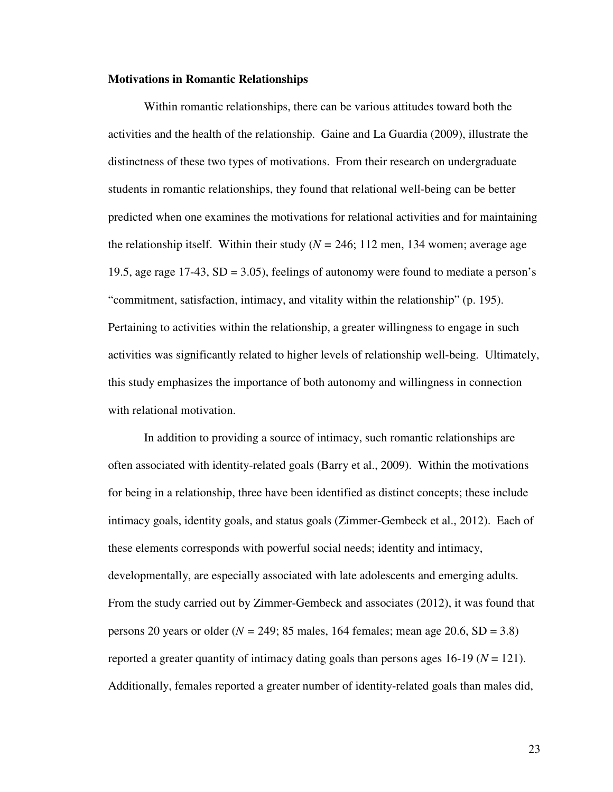#### **Motivations in Romantic Relationships**

 Within romantic relationships, there can be various attitudes toward both the activities and the health of the relationship. Gaine and La Guardia (2009), illustrate the distinctness of these two types of motivations. From their research on undergraduate students in romantic relationships, they found that relational well-being can be better predicted when one examines the motivations for relational activities and for maintaining the relationship itself. Within their study ( $N = 246$ ; 112 men, 134 women; average age 19.5, age rage 17-43, SD = 3.05), feelings of autonomy were found to mediate a person's "commitment, satisfaction, intimacy, and vitality within the relationship" (p. 195). Pertaining to activities within the relationship, a greater willingness to engage in such activities was significantly related to higher levels of relationship well-being. Ultimately, this study emphasizes the importance of both autonomy and willingness in connection with relational motivation.

 In addition to providing a source of intimacy, such romantic relationships are often associated with identity-related goals (Barry et al., 2009). Within the motivations for being in a relationship, three have been identified as distinct concepts; these include intimacy goals, identity goals, and status goals (Zimmer-Gembeck et al., 2012). Each of these elements corresponds with powerful social needs; identity and intimacy, developmentally, are especially associated with late adolescents and emerging adults. From the study carried out by Zimmer-Gembeck and associates (2012), it was found that persons 20 years or older ( $N = 249$ ; 85 males, 164 females; mean age 20.6, SD = 3.8) reported a greater quantity of intimacy dating goals than persons ages 16-19 (*N* = 121). Additionally, females reported a greater number of identity-related goals than males did,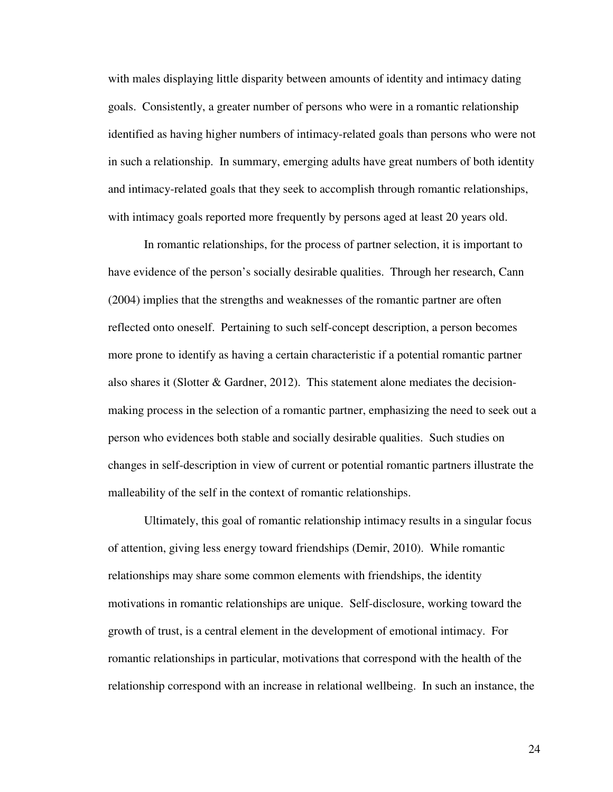with males displaying little disparity between amounts of identity and intimacy dating goals. Consistently, a greater number of persons who were in a romantic relationship identified as having higher numbers of intimacy-related goals than persons who were not in such a relationship. In summary, emerging adults have great numbers of both identity and intimacy-related goals that they seek to accomplish through romantic relationships, with intimacy goals reported more frequently by persons aged at least 20 years old.

 In romantic relationships, for the process of partner selection, it is important to have evidence of the person's socially desirable qualities. Through her research, Cann (2004) implies that the strengths and weaknesses of the romantic partner are often reflected onto oneself. Pertaining to such self-concept description, a person becomes more prone to identify as having a certain characteristic if a potential romantic partner also shares it (Slotter & Gardner, 2012). This statement alone mediates the decisionmaking process in the selection of a romantic partner, emphasizing the need to seek out a person who evidences both stable and socially desirable qualities. Such studies on changes in self-description in view of current or potential romantic partners illustrate the malleability of the self in the context of romantic relationships.

 Ultimately, this goal of romantic relationship intimacy results in a singular focus of attention, giving less energy toward friendships (Demir, 2010). While romantic relationships may share some common elements with friendships, the identity motivations in romantic relationships are unique. Self-disclosure, working toward the growth of trust, is a central element in the development of emotional intimacy. For romantic relationships in particular, motivations that correspond with the health of the relationship correspond with an increase in relational wellbeing. In such an instance, the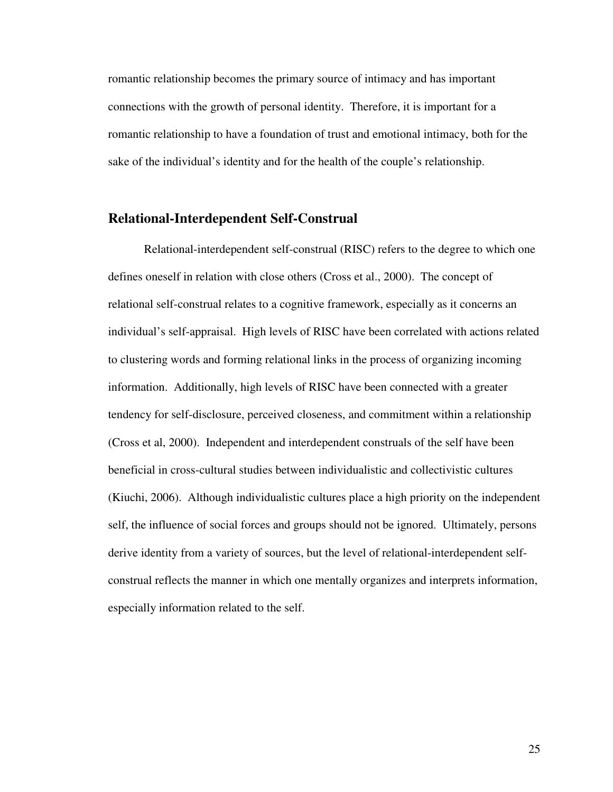romantic relationship becomes the primary source of intimacy and has important connections with the growth of personal identity. Therefore, it is important for a romantic relationship to have a foundation of trust and emotional intimacy, both for the sake of the individual's identity and for the health of the couple's relationship.

#### **Relational-Interdependent Self-Construal**

 Relational-interdependent self-construal (RISC) refers to the degree to which one defines oneself in relation with close others (Cross et al., 2000). The concept of relational self-construal relates to a cognitive framework, especially as it concerns an individual's self-appraisal. High levels of RISC have been correlated with actions related to clustering words and forming relational links in the process of organizing incoming information. Additionally, high levels of RISC have been connected with a greater tendency for self-disclosure, perceived closeness, and commitment within a relationship (Cross et al, 2000). Independent and interdependent construals of the self have been beneficial in cross-cultural studies between individualistic and collectivistic cultures (Kiuchi, 2006). Although individualistic cultures place a high priority on the independent self, the influence of social forces and groups should not be ignored. Ultimately, persons derive identity from a variety of sources, but the level of relational-interdependent selfconstrual reflects the manner in which one mentally organizes and interprets information, especially information related to the self.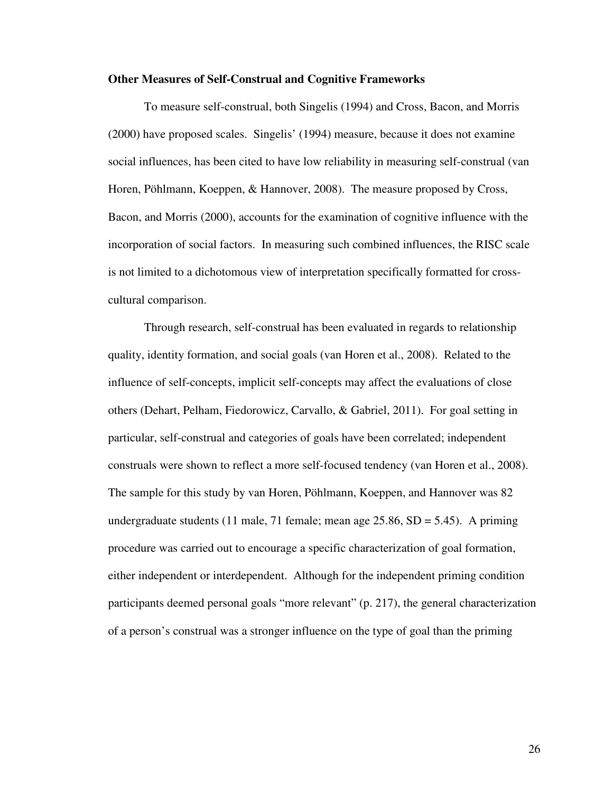#### **Other Measures of Self-Construal and Cognitive Frameworks**

 To measure self-construal, both Singelis (1994) and Cross, Bacon, and Morris (2000) have proposed scales. Singelis' (1994) measure, because it does not examine social influences, has been cited to have low reliability in measuring self-construal (van Horen, Pöhlmann, Koeppen, & Hannover, 2008). The measure proposed by Cross, Bacon, and Morris (2000), accounts for the examination of cognitive influence with the incorporation of social factors. In measuring such combined influences, the RISC scale is not limited to a dichotomous view of interpretation specifically formatted for crosscultural comparison.

 Through research, self-construal has been evaluated in regards to relationship quality, identity formation, and social goals (van Horen et al., 2008). Related to the influence of self-concepts, implicit self-concepts may affect the evaluations of close others (Dehart, Pelham, Fiedorowicz, Carvallo, & Gabriel, 2011). For goal setting in particular, self-construal and categories of goals have been correlated; independent construals were shown to reflect a more self-focused tendency (van Horen et al., 2008). The sample for this study by van Horen, Pöhlmann, Koeppen, and Hannover was 82 undergraduate students (11 male, 71 female; mean age 25.86,  $SD = 5.45$ ). A priming procedure was carried out to encourage a specific characterization of goal formation, either independent or interdependent. Although for the independent priming condition participants deemed personal goals "more relevant" (p. 217), the general characterization of a person's construal was a stronger influence on the type of goal than the priming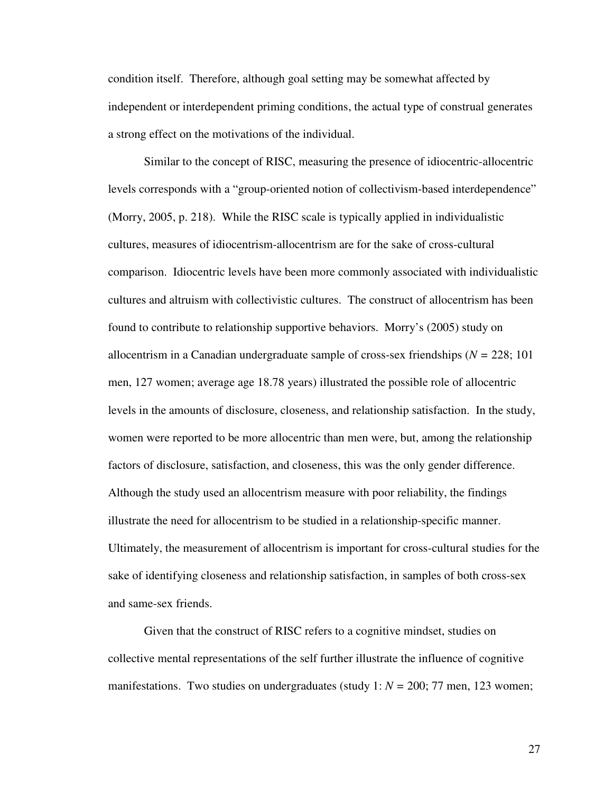condition itself. Therefore, although goal setting may be somewhat affected by independent or interdependent priming conditions, the actual type of construal generates a strong effect on the motivations of the individual.

 Similar to the concept of RISC, measuring the presence of idiocentric-allocentric levels corresponds with a "group-oriented notion of collectivism-based interdependence" (Morry, 2005, p. 218). While the RISC scale is typically applied in individualistic cultures, measures of idiocentrism-allocentrism are for the sake of cross-cultural comparison. Idiocentric levels have been more commonly associated with individualistic cultures and altruism with collectivistic cultures. The construct of allocentrism has been found to contribute to relationship supportive behaviors. Morry's (2005) study on allocentrism in a Canadian undergraduate sample of cross-sex friendships (*N =* 228; 101 men, 127 women; average age 18.78 years) illustrated the possible role of allocentric levels in the amounts of disclosure, closeness, and relationship satisfaction. In the study, women were reported to be more allocentric than men were, but, among the relationship factors of disclosure, satisfaction, and closeness, this was the only gender difference. Although the study used an allocentrism measure with poor reliability, the findings illustrate the need for allocentrism to be studied in a relationship-specific manner. Ultimately, the measurement of allocentrism is important for cross-cultural studies for the sake of identifying closeness and relationship satisfaction, in samples of both cross-sex and same-sex friends.

 Given that the construct of RISC refers to a cognitive mindset, studies on collective mental representations of the self further illustrate the influence of cognitive manifestations. Two studies on undergraduates (study 1: *N =* 200; 77 men, 123 women;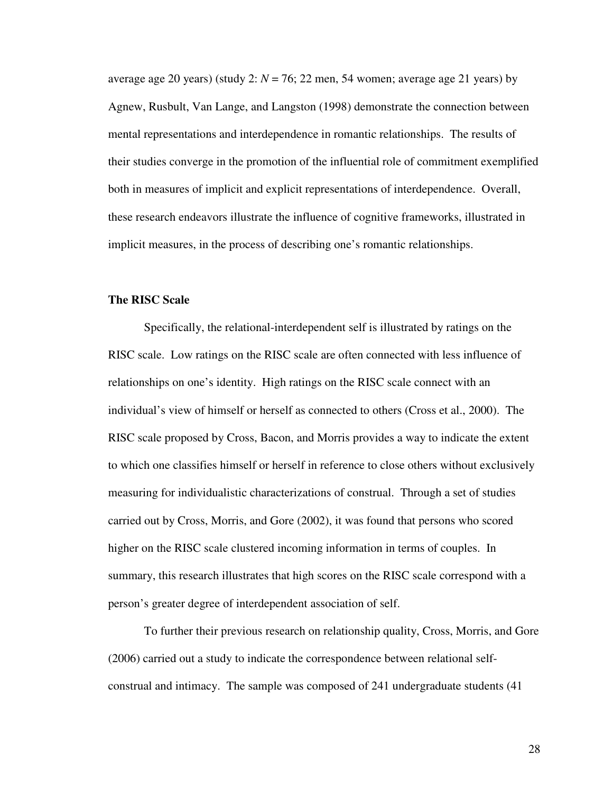average age 20 years) (study 2:  $N = 76$ ; 22 men, 54 women; average age 21 years) by Agnew, Rusbult, Van Lange, and Langston (1998) demonstrate the connection between mental representations and interdependence in romantic relationships. The results of their studies converge in the promotion of the influential role of commitment exemplified both in measures of implicit and explicit representations of interdependence. Overall, these research endeavors illustrate the influence of cognitive frameworks, illustrated in implicit measures, in the process of describing one's romantic relationships.

#### **The RISC Scale**

 Specifically, the relational-interdependent self is illustrated by ratings on the RISC scale. Low ratings on the RISC scale are often connected with less influence of relationships on one's identity. High ratings on the RISC scale connect with an individual's view of himself or herself as connected to others (Cross et al., 2000). The RISC scale proposed by Cross, Bacon, and Morris provides a way to indicate the extent to which one classifies himself or herself in reference to close others without exclusively measuring for individualistic characterizations of construal. Through a set of studies carried out by Cross, Morris, and Gore (2002), it was found that persons who scored higher on the RISC scale clustered incoming information in terms of couples. In summary, this research illustrates that high scores on the RISC scale correspond with a person's greater degree of interdependent association of self.

 To further their previous research on relationship quality, Cross, Morris, and Gore (2006) carried out a study to indicate the correspondence between relational selfconstrual and intimacy. The sample was composed of 241 undergraduate students (41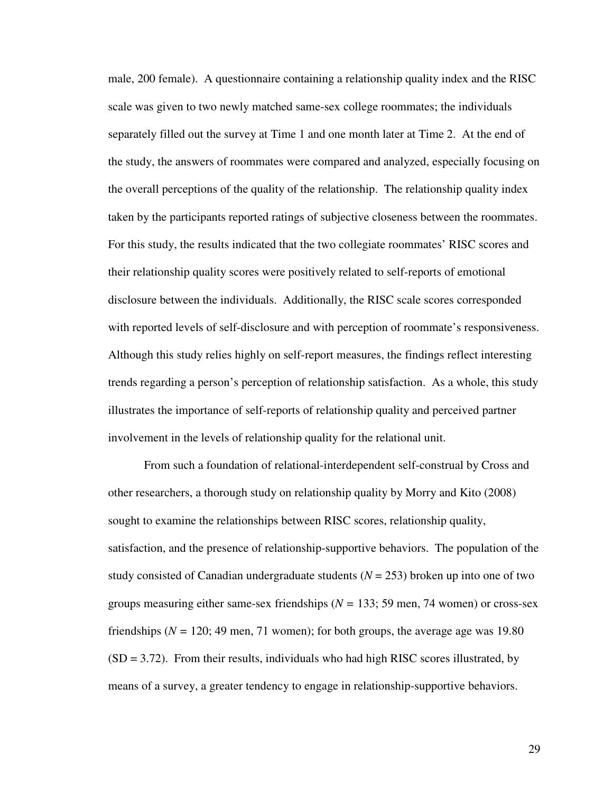male, 200 female). A questionnaire containing a relationship quality index and the RISC scale was given to two newly matched same-sex college roommates; the individuals separately filled out the survey at Time 1 and one month later at Time 2. At the end of the study, the answers of roommates were compared and analyzed, especially focusing on the overall perceptions of the quality of the relationship. The relationship quality index taken by the participants reported ratings of subjective closeness between the roommates. For this study, the results indicated that the two collegiate roommates' RISC scores and their relationship quality scores were positively related to self-reports of emotional disclosure between the individuals. Additionally, the RISC scale scores corresponded with reported levels of self-disclosure and with perception of roommate's responsiveness. Although this study relies highly on self-report measures, the findings reflect interesting trends regarding a person's perception of relationship satisfaction. As a whole, this study illustrates the importance of self-reports of relationship quality and perceived partner involvement in the levels of relationship quality for the relational unit.

 From such a foundation of relational-interdependent self-construal by Cross and other researchers, a thorough study on relationship quality by Morry and Kito (2008) sought to examine the relationships between RISC scores, relationship quality, satisfaction, and the presence of relationship-supportive behaviors. The population of the study consisted of Canadian undergraduate students  $(N = 253)$  broken up into one of two groups measuring either same-sex friendships (*N =* 133; 59 men, 74 women) or cross-sex friendships ( $N = 120$ ; 49 men, 71 women); for both groups, the average age was 19.80  $(SD = 3.72)$ . From their results, individuals who had high RISC scores illustrated, by means of a survey, a greater tendency to engage in relationship-supportive behaviors.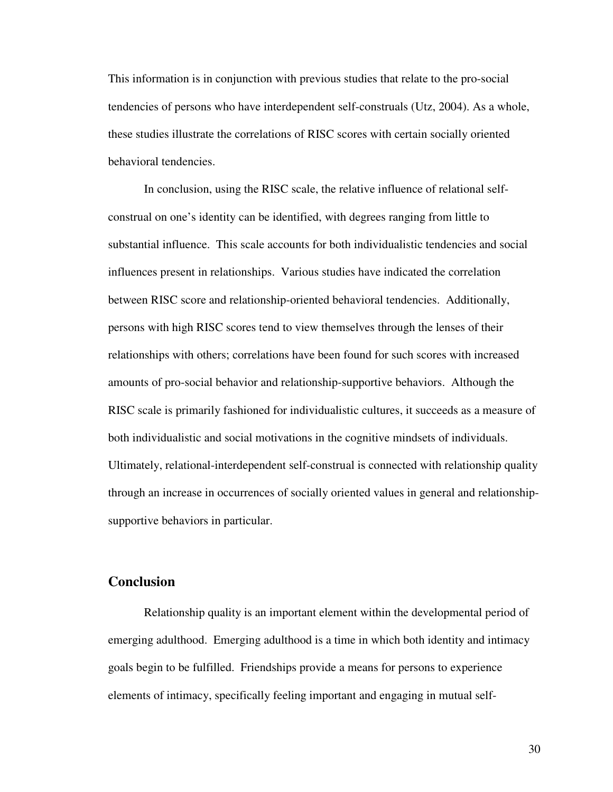This information is in conjunction with previous studies that relate to the pro-social tendencies of persons who have interdependent self-construals (Utz, 2004). As a whole, these studies illustrate the correlations of RISC scores with certain socially oriented behavioral tendencies.

 In conclusion, using the RISC scale, the relative influence of relational selfconstrual on one's identity can be identified, with degrees ranging from little to substantial influence. This scale accounts for both individualistic tendencies and social influences present in relationships. Various studies have indicated the correlation between RISC score and relationship-oriented behavioral tendencies. Additionally, persons with high RISC scores tend to view themselves through the lenses of their relationships with others; correlations have been found for such scores with increased amounts of pro-social behavior and relationship-supportive behaviors. Although the RISC scale is primarily fashioned for individualistic cultures, it succeeds as a measure of both individualistic and social motivations in the cognitive mindsets of individuals. Ultimately, relational-interdependent self-construal is connected with relationship quality through an increase in occurrences of socially oriented values in general and relationshipsupportive behaviors in particular.

# **Conclusion**

 Relationship quality is an important element within the developmental period of emerging adulthood. Emerging adulthood is a time in which both identity and intimacy goals begin to be fulfilled. Friendships provide a means for persons to experience elements of intimacy, specifically feeling important and engaging in mutual self-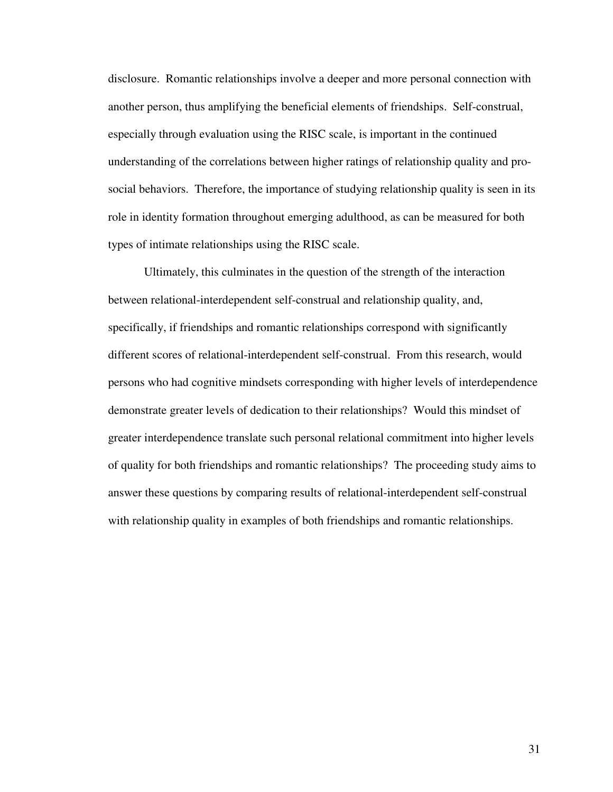disclosure. Romantic relationships involve a deeper and more personal connection with another person, thus amplifying the beneficial elements of friendships. Self-construal, especially through evaluation using the RISC scale, is important in the continued understanding of the correlations between higher ratings of relationship quality and prosocial behaviors. Therefore, the importance of studying relationship quality is seen in its role in identity formation throughout emerging adulthood, as can be measured for both types of intimate relationships using the RISC scale.

 Ultimately, this culminates in the question of the strength of the interaction between relational-interdependent self-construal and relationship quality, and, specifically, if friendships and romantic relationships correspond with significantly different scores of relational-interdependent self-construal. From this research, would persons who had cognitive mindsets corresponding with higher levels of interdependence demonstrate greater levels of dedication to their relationships? Would this mindset of greater interdependence translate such personal relational commitment into higher levels of quality for both friendships and romantic relationships? The proceeding study aims to answer these questions by comparing results of relational-interdependent self-construal with relationship quality in examples of both friendships and romantic relationships.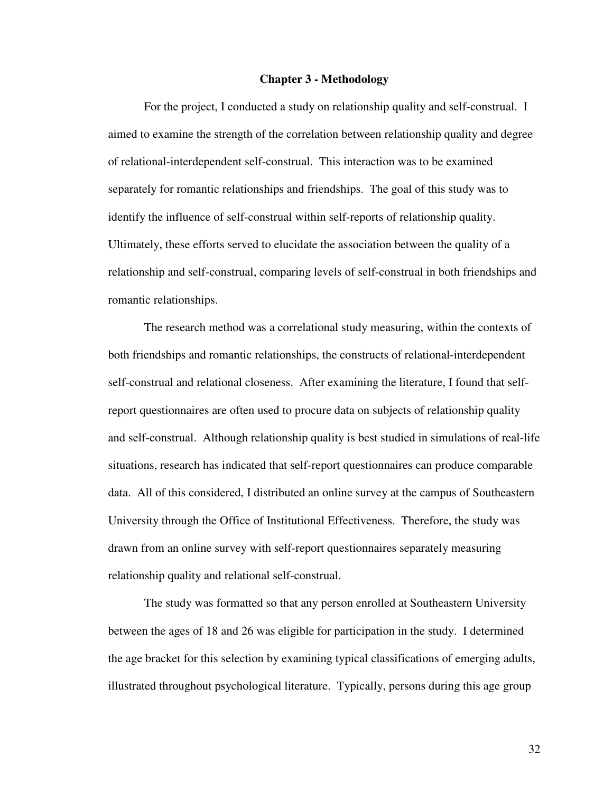#### **Chapter 3 - Methodology**

 For the project, I conducted a study on relationship quality and self-construal. I aimed to examine the strength of the correlation between relationship quality and degree of relational-interdependent self-construal. This interaction was to be examined separately for romantic relationships and friendships. The goal of this study was to identify the influence of self-construal within self-reports of relationship quality. Ultimately, these efforts served to elucidate the association between the quality of a relationship and self-construal, comparing levels of self-construal in both friendships and romantic relationships.

 The research method was a correlational study measuring, within the contexts of both friendships and romantic relationships, the constructs of relational-interdependent self-construal and relational closeness. After examining the literature, I found that selfreport questionnaires are often used to procure data on subjects of relationship quality and self-construal. Although relationship quality is best studied in simulations of real-life situations, research has indicated that self-report questionnaires can produce comparable data. All of this considered, I distributed an online survey at the campus of Southeastern University through the Office of Institutional Effectiveness. Therefore, the study was drawn from an online survey with self-report questionnaires separately measuring relationship quality and relational self-construal.

 The study was formatted so that any person enrolled at Southeastern University between the ages of 18 and 26 was eligible for participation in the study. I determined the age bracket for this selection by examining typical classifications of emerging adults, illustrated throughout psychological literature. Typically, persons during this age group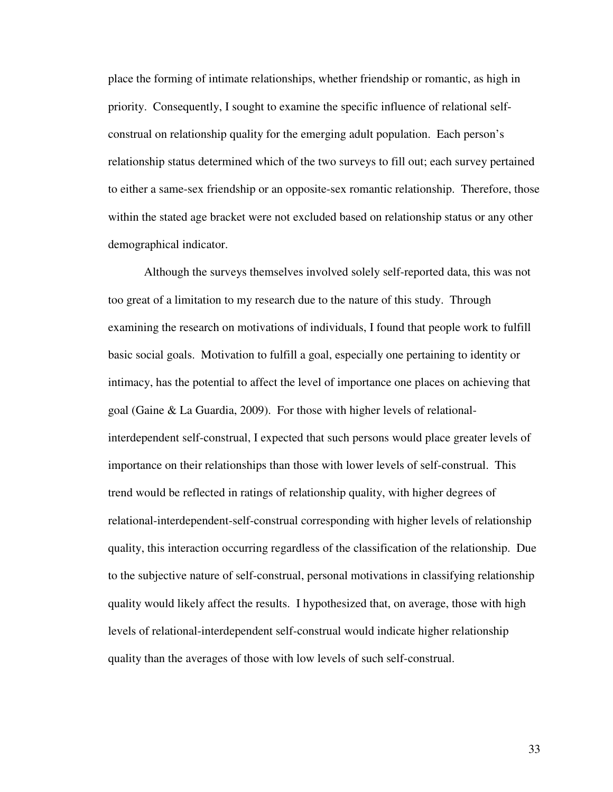place the forming of intimate relationships, whether friendship or romantic, as high in priority. Consequently, I sought to examine the specific influence of relational selfconstrual on relationship quality for the emerging adult population. Each person's relationship status determined which of the two surveys to fill out; each survey pertained to either a same-sex friendship or an opposite-sex romantic relationship. Therefore, those within the stated age bracket were not excluded based on relationship status or any other demographical indicator.

 Although the surveys themselves involved solely self-reported data, this was not too great of a limitation to my research due to the nature of this study. Through examining the research on motivations of individuals, I found that people work to fulfill basic social goals. Motivation to fulfill a goal, especially one pertaining to identity or intimacy, has the potential to affect the level of importance one places on achieving that goal (Gaine & La Guardia, 2009). For those with higher levels of relationalinterdependent self-construal, I expected that such persons would place greater levels of importance on their relationships than those with lower levels of self-construal. This trend would be reflected in ratings of relationship quality, with higher degrees of relational-interdependent-self-construal corresponding with higher levels of relationship quality, this interaction occurring regardless of the classification of the relationship. Due to the subjective nature of self-construal, personal motivations in classifying relationship quality would likely affect the results. I hypothesized that, on average, those with high levels of relational-interdependent self-construal would indicate higher relationship quality than the averages of those with low levels of such self-construal.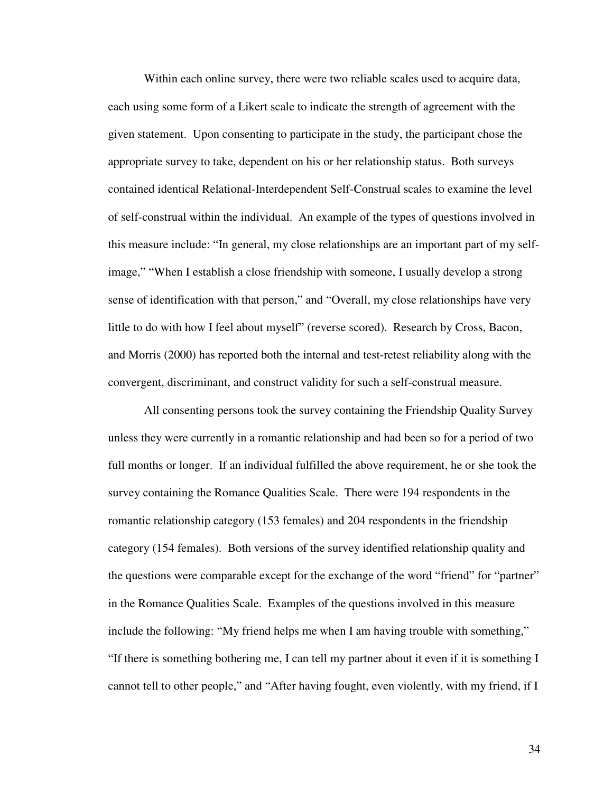Within each online survey, there were two reliable scales used to acquire data, each using some form of a Likert scale to indicate the strength of agreement with the given statement. Upon consenting to participate in the study, the participant chose the appropriate survey to take, dependent on his or her relationship status. Both surveys contained identical Relational-Interdependent Self-Construal scales to examine the level of self-construal within the individual. An example of the types of questions involved in this measure include: "In general, my close relationships are an important part of my selfimage," "When I establish a close friendship with someone, I usually develop a strong sense of identification with that person," and "Overall, my close relationships have very little to do with how I feel about myself" (reverse scored). Research by Cross, Bacon, and Morris (2000) has reported both the internal and test-retest reliability along with the convergent, discriminant, and construct validity for such a self-construal measure.

 All consenting persons took the survey containing the Friendship Quality Survey unless they were currently in a romantic relationship and had been so for a period of two full months or longer. If an individual fulfilled the above requirement, he or she took the survey containing the Romance Qualities Scale. There were 194 respondents in the romantic relationship category (153 females) and 204 respondents in the friendship category (154 females). Both versions of the survey identified relationship quality and the questions were comparable except for the exchange of the word "friend" for "partner" in the Romance Qualities Scale. Examples of the questions involved in this measure include the following: "My friend helps me when I am having trouble with something," "If there is something bothering me, I can tell my partner about it even if it is something I cannot tell to other people," and "After having fought, even violently, with my friend, if I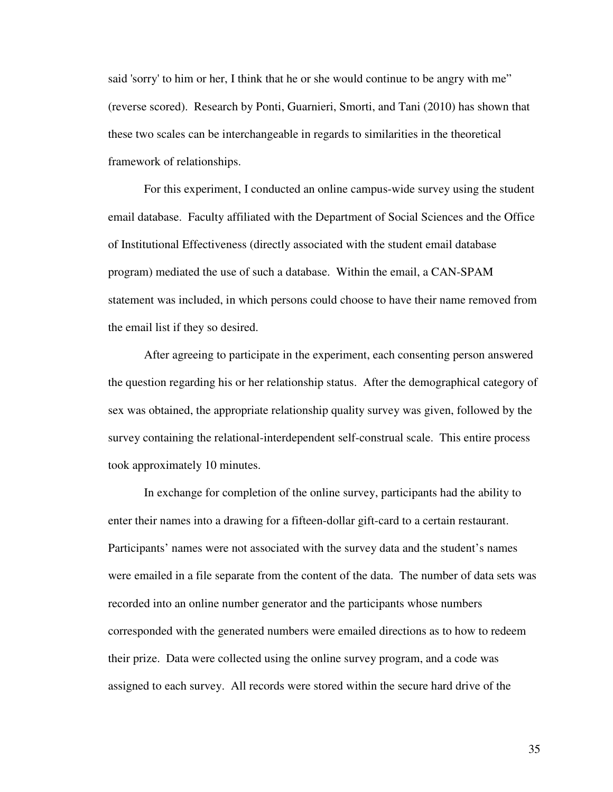said 'sorry' to him or her, I think that he or she would continue to be angry with me" (reverse scored). Research by Ponti, Guarnieri, Smorti, and Tani (2010) has shown that these two scales can be interchangeable in regards to similarities in the theoretical framework of relationships.

 For this experiment, I conducted an online campus-wide survey using the student email database. Faculty affiliated with the Department of Social Sciences and the Office of Institutional Effectiveness (directly associated with the student email database program) mediated the use of such a database. Within the email, a CAN-SPAM statement was included, in which persons could choose to have their name removed from the email list if they so desired.

 After agreeing to participate in the experiment, each consenting person answered the question regarding his or her relationship status. After the demographical category of sex was obtained, the appropriate relationship quality survey was given, followed by the survey containing the relational-interdependent self-construal scale. This entire process took approximately 10 minutes.

 In exchange for completion of the online survey, participants had the ability to enter their names into a drawing for a fifteen-dollar gift-card to a certain restaurant. Participants' names were not associated with the survey data and the student's names were emailed in a file separate from the content of the data. The number of data sets was recorded into an online number generator and the participants whose numbers corresponded with the generated numbers were emailed directions as to how to redeem their prize. Data were collected using the online survey program, and a code was assigned to each survey. All records were stored within the secure hard drive of the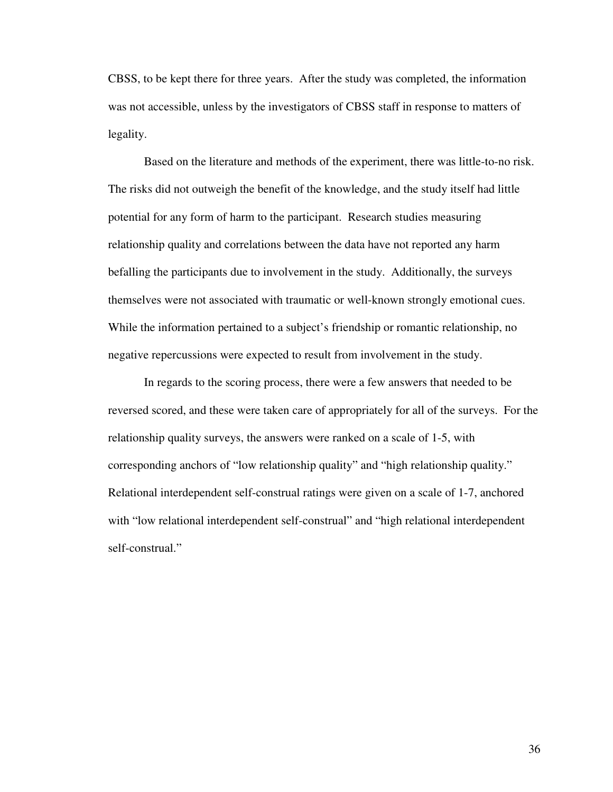CBSS, to be kept there for three years. After the study was completed, the information was not accessible, unless by the investigators of CBSS staff in response to matters of legality.

 Based on the literature and methods of the experiment, there was little-to-no risk. The risks did not outweigh the benefit of the knowledge, and the study itself had little potential for any form of harm to the participant. Research studies measuring relationship quality and correlations between the data have not reported any harm befalling the participants due to involvement in the study. Additionally, the surveys themselves were not associated with traumatic or well-known strongly emotional cues. While the information pertained to a subject's friendship or romantic relationship, no negative repercussions were expected to result from involvement in the study.

 In regards to the scoring process, there were a few answers that needed to be reversed scored, and these were taken care of appropriately for all of the surveys. For the relationship quality surveys, the answers were ranked on a scale of 1-5, with corresponding anchors of "low relationship quality" and "high relationship quality." Relational interdependent self-construal ratings were given on a scale of 1-7, anchored with "low relational interdependent self-construal" and "high relational interdependent self-construal."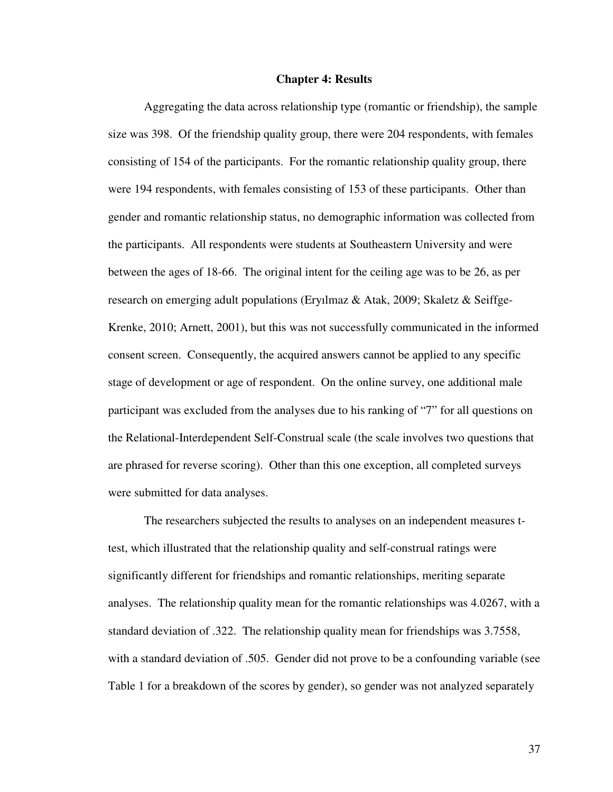#### **Chapter 4: Results**

 Aggregating the data across relationship type (romantic or friendship), the sample size was 398. Of the friendship quality group, there were 204 respondents, with females consisting of 154 of the participants. For the romantic relationship quality group, there were 194 respondents, with females consisting of 153 of these participants. Other than gender and romantic relationship status, no demographic information was collected from the participants. All respondents were students at Southeastern University and were between the ages of 18-66. The original intent for the ceiling age was to be 26, as per research on emerging adult populations (Eryılmaz & Atak, 2009; Skaletz & Seiffge-Krenke, 2010; Arnett, 2001), but this was not successfully communicated in the informed consent screen. Consequently, the acquired answers cannot be applied to any specific stage of development or age of respondent. On the online survey, one additional male participant was excluded from the analyses due to his ranking of "7" for all questions on the Relational-Interdependent Self-Construal scale (the scale involves two questions that are phrased for reverse scoring). Other than this one exception, all completed surveys were submitted for data analyses.

 The researchers subjected the results to analyses on an independent measures ttest, which illustrated that the relationship quality and self-construal ratings were significantly different for friendships and romantic relationships, meriting separate analyses. The relationship quality mean for the romantic relationships was 4.0267, with a standard deviation of .322. The relationship quality mean for friendships was 3.7558, with a standard deviation of .505. Gender did not prove to be a confounding variable (see Table 1 for a breakdown of the scores by gender), so gender was not analyzed separately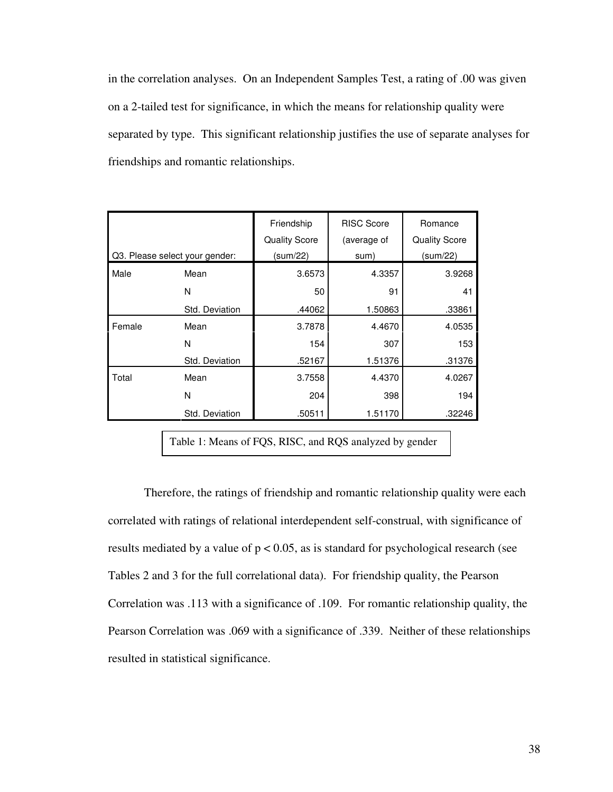in the correlation analyses. On an Independent Samples Test, a rating of .00 was given on a 2-tailed test for significance, in which the means for relationship quality were separated by type. This significant relationship justifies the use of separate analyses for friendships and romantic relationships.

|        |                                | Friendship<br><b>Quality Score</b> | <b>RISC Score</b><br>(average of | Romance<br><b>Quality Score</b> |  |
|--------|--------------------------------|------------------------------------|----------------------------------|---------------------------------|--|
|        | Q3. Please select your gender: | (sum/22)                           | sum)                             | (sum/22)                        |  |
| Male   | Mean                           | 3.6573                             | 4.3357                           | 3.9268                          |  |
|        | N                              | 50                                 | 91                               | 41                              |  |
|        | Std. Deviation                 | .44062                             | 1.50863                          | .33861                          |  |
| Female | Mean                           | 3.7878                             | 4.4670                           | 4.0535                          |  |
|        | N                              | 154                                | 307                              | 153                             |  |
|        | Std. Deviation                 | .52167                             | 1.51376                          | .31376                          |  |
| Total  | Mean                           | 3.7558                             | 4.4370                           | 4.0267                          |  |
|        | N                              | 204                                | 398                              | 194                             |  |
|        | Std. Deviation                 | .50511                             | 1.51170                          | .32246                          |  |

Table 1: Means of FQS, RISC, and RQS analyzed by gender

 Therefore, the ratings of friendship and romantic relationship quality were each correlated with ratings of relational interdependent self-construal, with significance of results mediated by a value of  $p < 0.05$ , as is standard for psychological research (see Tables 2 and 3 for the full correlational data). For friendship quality, the Pearson Correlation was .113 with a significance of .109. For romantic relationship quality, the Pearson Correlation was .069 with a significance of .339. Neither of these relationships resulted in statistical significance.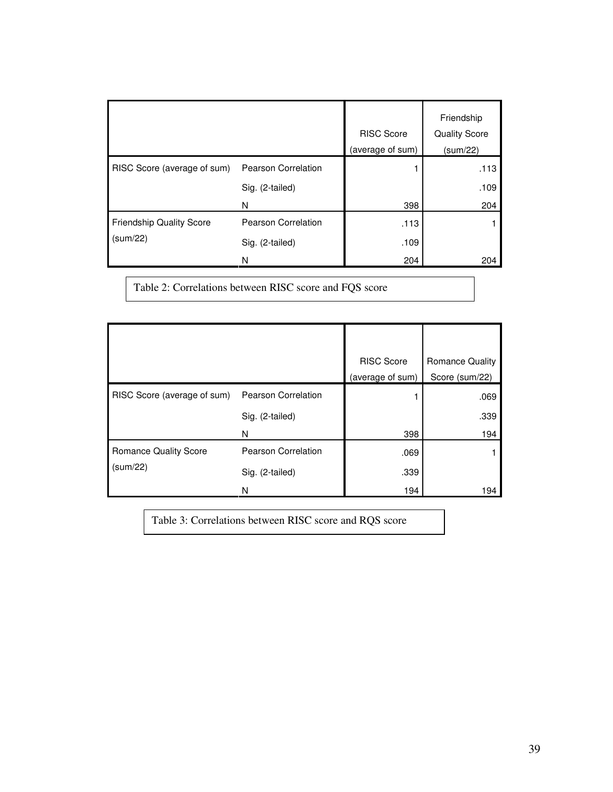|                                 |                            | <b>RISC Score</b><br>(average of sum) | Friendship<br><b>Quality Score</b><br>(sum/22) |
|---------------------------------|----------------------------|---------------------------------------|------------------------------------------------|
| RISC Score (average of sum)     | <b>Pearson Correlation</b> |                                       | .113                                           |
|                                 | Sig. (2-tailed)            |                                       | .109                                           |
|                                 | N                          | 398                                   | 204                                            |
| <b>Friendship Quality Score</b> | Pearson Correlation        | .113                                  |                                                |
| (sum/22)                        | Sig. (2-tailed)            | .109                                  |                                                |
|                                 | N                          | 204                                   | 204                                            |

Table 2: Correlations between RISC score and FQS score

|                              |                     | <b>RISC Score</b> | <b>Romance Quality</b> |
|------------------------------|---------------------|-------------------|------------------------|
|                              |                     | (average of sum)  | Score (sum/22)         |
| RISC Score (average of sum)  | Pearson Correlation |                   | .069                   |
|                              | Sig. (2-tailed)     |                   | .339                   |
|                              | N                   | 398               | 194                    |
| <b>Romance Quality Score</b> | Pearson Correlation | .069              |                        |
| (sum/22)                     | Sig. (2-tailed)     | .339              |                        |
|                              | N                   | 194               | 194                    |

Table 3: Correlations between RISC score and RQS score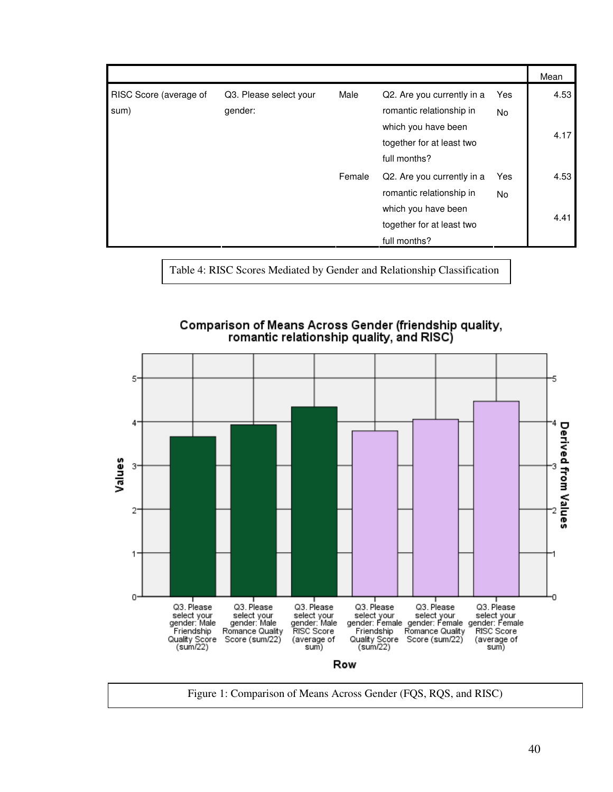|                        |                        |        |                            |     | Mean |
|------------------------|------------------------|--------|----------------------------|-----|------|
| RISC Score (average of | Q3. Please select your | Male   | Q2. Are you currently in a | Yes | 4.53 |
| sum)                   | gender:                |        | romantic relationship in   | No. |      |
|                        |                        |        | which you have been        |     | 4.17 |
|                        |                        |        | together for at least two  |     |      |
|                        |                        |        | full months?               |     |      |
|                        |                        | Female | Q2. Are you currently in a | Yes | 4.53 |
|                        |                        |        | romantic relationship in   | No. |      |
|                        |                        |        | which you have been        |     |      |
|                        |                        |        | together for at least two  |     | 4.41 |
|                        |                        |        | full months?               |     |      |

Table 4: RISC Scores Mediated by Gender and Relationship Classification



Comparison of Means Across Gender (friendship quality,<br>romantic relationship quality, and RISC)

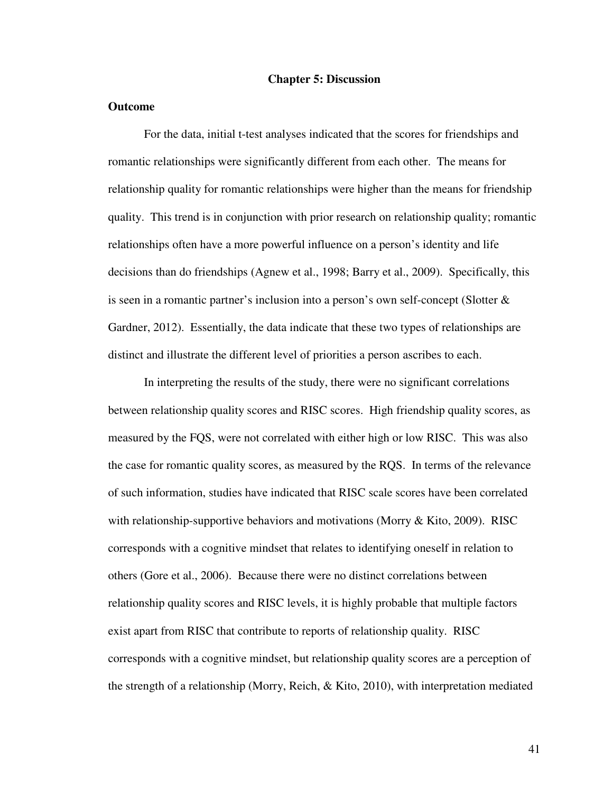#### **Chapter 5: Discussion**

#### **Outcome**

For the data, initial t-test analyses indicated that the scores for friendships and romantic relationships were significantly different from each other. The means for relationship quality for romantic relationships were higher than the means for friendship quality. This trend is in conjunction with prior research on relationship quality; romantic relationships often have a more powerful influence on a person's identity and life decisions than do friendships (Agnew et al., 1998; Barry et al., 2009). Specifically, this is seen in a romantic partner's inclusion into a person's own self-concept (Slotter  $\&$ Gardner, 2012). Essentially, the data indicate that these two types of relationships are distinct and illustrate the different level of priorities a person ascribes to each.

 In interpreting the results of the study, there were no significant correlations between relationship quality scores and RISC scores. High friendship quality scores, as measured by the FQS, were not correlated with either high or low RISC. This was also the case for romantic quality scores, as measured by the RQS. In terms of the relevance of such information, studies have indicated that RISC scale scores have been correlated with relationship-supportive behaviors and motivations (Morry & Kito, 2009). RISC corresponds with a cognitive mindset that relates to identifying oneself in relation to others (Gore et al., 2006). Because there were no distinct correlations between relationship quality scores and RISC levels, it is highly probable that multiple factors exist apart from RISC that contribute to reports of relationship quality. RISC corresponds with a cognitive mindset, but relationship quality scores are a perception of the strength of a relationship (Morry, Reich, & Kito, 2010), with interpretation mediated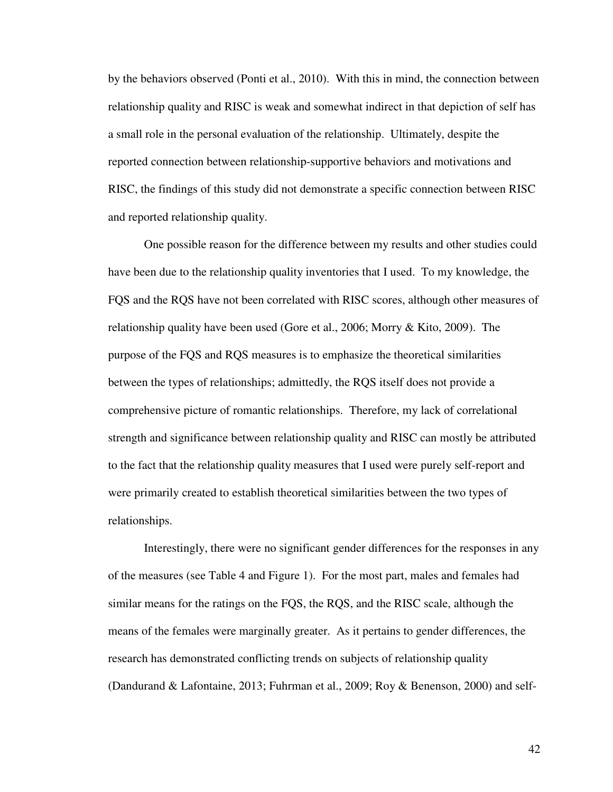by the behaviors observed (Ponti et al., 2010). With this in mind, the connection between relationship quality and RISC is weak and somewhat indirect in that depiction of self has a small role in the personal evaluation of the relationship. Ultimately, despite the reported connection between relationship-supportive behaviors and motivations and RISC, the findings of this study did not demonstrate a specific connection between RISC and reported relationship quality.

 One possible reason for the difference between my results and other studies could have been due to the relationship quality inventories that I used. To my knowledge, the FQS and the RQS have not been correlated with RISC scores, although other measures of relationship quality have been used (Gore et al., 2006; Morry & Kito, 2009). The purpose of the FQS and RQS measures is to emphasize the theoretical similarities between the types of relationships; admittedly, the RQS itself does not provide a comprehensive picture of romantic relationships. Therefore, my lack of correlational strength and significance between relationship quality and RISC can mostly be attributed to the fact that the relationship quality measures that I used were purely self-report and were primarily created to establish theoretical similarities between the two types of relationships.

 Interestingly, there were no significant gender differences for the responses in any of the measures (see Table 4 and Figure 1). For the most part, males and females had similar means for the ratings on the FQS, the RQS, and the RISC scale, although the means of the females were marginally greater. As it pertains to gender differences, the research has demonstrated conflicting trends on subjects of relationship quality (Dandurand & Lafontaine, 2013; Fuhrman et al., 2009; Roy & Benenson, 2000) and self-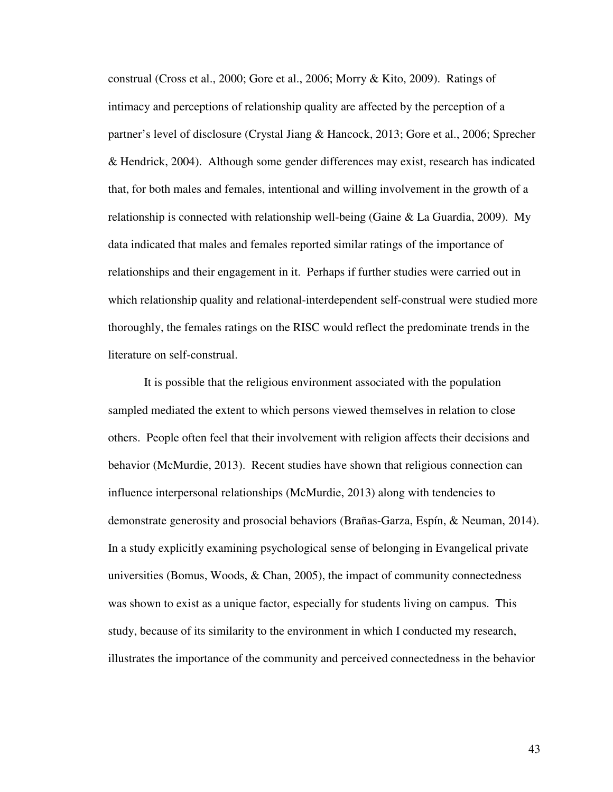construal (Cross et al., 2000; Gore et al., 2006; Morry & Kito, 2009). Ratings of intimacy and perceptions of relationship quality are affected by the perception of a partner's level of disclosure (Crystal Jiang & Hancock, 2013; Gore et al., 2006; Sprecher & Hendrick, 2004). Although some gender differences may exist, research has indicated that, for both males and females, intentional and willing involvement in the growth of a relationship is connected with relationship well-being (Gaine & La Guardia, 2009). My data indicated that males and females reported similar ratings of the importance of relationships and their engagement in it. Perhaps if further studies were carried out in which relationship quality and relational-interdependent self-construal were studied more thoroughly, the females ratings on the RISC would reflect the predominate trends in the literature on self-construal.

 It is possible that the religious environment associated with the population sampled mediated the extent to which persons viewed themselves in relation to close others. People often feel that their involvement with religion affects their decisions and behavior (McMurdie, 2013). Recent studies have shown that religious connection can influence interpersonal relationships (McMurdie, 2013) along with tendencies to demonstrate generosity and prosocial behaviors (Brañas-Garza, Espín, & Neuman, 2014). In a study explicitly examining psychological sense of belonging in Evangelical private universities (Bomus, Woods, & Chan, 2005), the impact of community connectedness was shown to exist as a unique factor, especially for students living on campus. This study, because of its similarity to the environment in which I conducted my research, illustrates the importance of the community and perceived connectedness in the behavior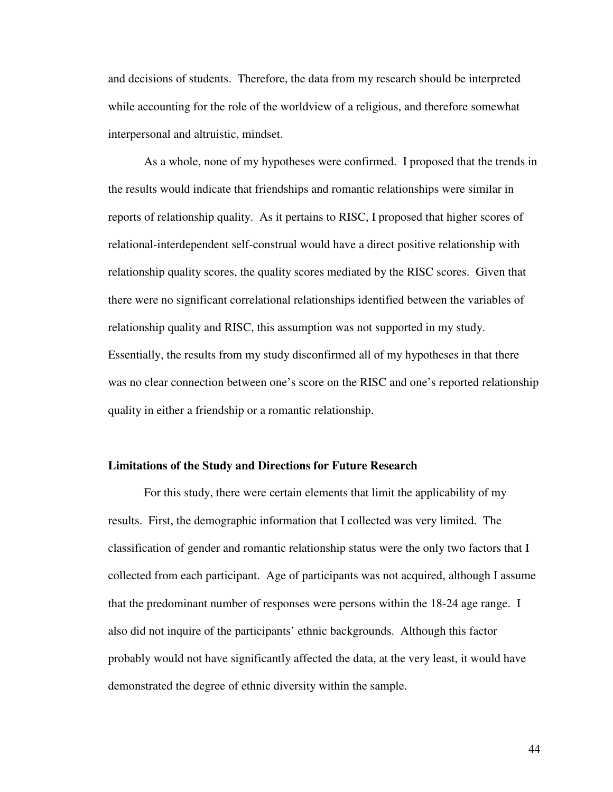and decisions of students. Therefore, the data from my research should be interpreted while accounting for the role of the worldview of a religious, and therefore somewhat interpersonal and altruistic, mindset.

 As a whole, none of my hypotheses were confirmed. I proposed that the trends in the results would indicate that friendships and romantic relationships were similar in reports of relationship quality. As it pertains to RISC, I proposed that higher scores of relational-interdependent self-construal would have a direct positive relationship with relationship quality scores, the quality scores mediated by the RISC scores. Given that there were no significant correlational relationships identified between the variables of relationship quality and RISC, this assumption was not supported in my study. Essentially, the results from my study disconfirmed all of my hypotheses in that there was no clear connection between one's score on the RISC and one's reported relationship quality in either a friendship or a romantic relationship.

#### **Limitations of the Study and Directions for Future Research**

For this study, there were certain elements that limit the applicability of my results. First, the demographic information that I collected was very limited. The classification of gender and romantic relationship status were the only two factors that I collected from each participant. Age of participants was not acquired, although I assume that the predominant number of responses were persons within the 18-24 age range. I also did not inquire of the participants' ethnic backgrounds. Although this factor probably would not have significantly affected the data, at the very least, it would have demonstrated the degree of ethnic diversity within the sample.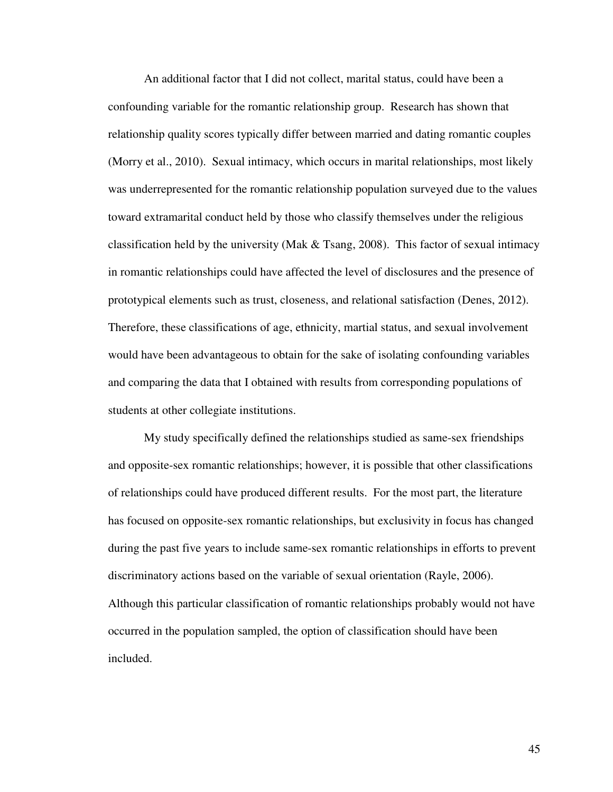An additional factor that I did not collect, marital status, could have been a confounding variable for the romantic relationship group. Research has shown that relationship quality scores typically differ between married and dating romantic couples (Morry et al., 2010). Sexual intimacy, which occurs in marital relationships, most likely was underrepresented for the romantic relationship population surveyed due to the values toward extramarital conduct held by those who classify themselves under the religious classification held by the university (Mak & Tsang, 2008). This factor of sexual intimacy in romantic relationships could have affected the level of disclosures and the presence of prototypical elements such as trust, closeness, and relational satisfaction (Denes, 2012). Therefore, these classifications of age, ethnicity, martial status, and sexual involvement would have been advantageous to obtain for the sake of isolating confounding variables and comparing the data that I obtained with results from corresponding populations of students at other collegiate institutions.

 My study specifically defined the relationships studied as same-sex friendships and opposite-sex romantic relationships; however, it is possible that other classifications of relationships could have produced different results. For the most part, the literature has focused on opposite-sex romantic relationships, but exclusivity in focus has changed during the past five years to include same-sex romantic relationships in efforts to prevent discriminatory actions based on the variable of sexual orientation (Rayle, 2006). Although this particular classification of romantic relationships probably would not have occurred in the population sampled, the option of classification should have been included.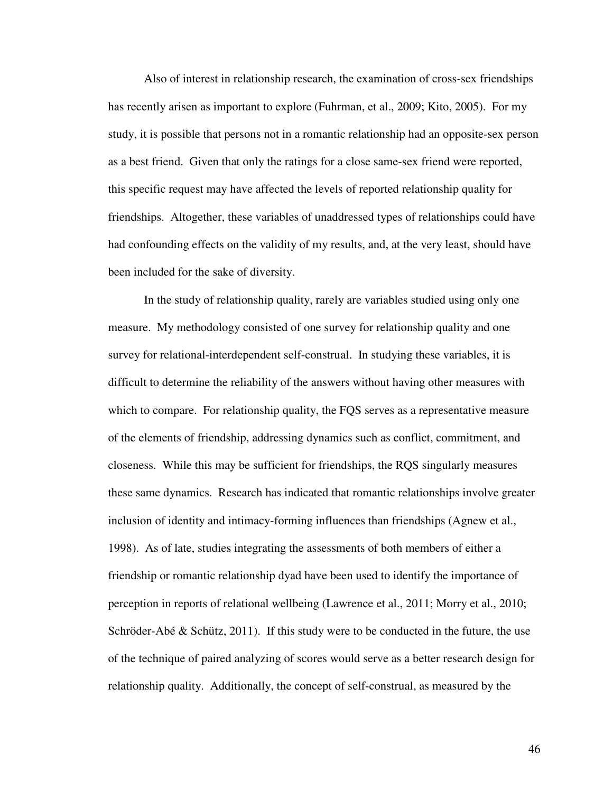Also of interest in relationship research, the examination of cross-sex friendships has recently arisen as important to explore (Fuhrman, et al., 2009; Kito, 2005). For my study, it is possible that persons not in a romantic relationship had an opposite-sex person as a best friend. Given that only the ratings for a close same-sex friend were reported, this specific request may have affected the levels of reported relationship quality for friendships. Altogether, these variables of unaddressed types of relationships could have had confounding effects on the validity of my results, and, at the very least, should have been included for the sake of diversity.

 In the study of relationship quality, rarely are variables studied using only one measure. My methodology consisted of one survey for relationship quality and one survey for relational-interdependent self-construal. In studying these variables, it is difficult to determine the reliability of the answers without having other measures with which to compare. For relationship quality, the FQS serves as a representative measure of the elements of friendship, addressing dynamics such as conflict, commitment, and closeness. While this may be sufficient for friendships, the RQS singularly measures these same dynamics. Research has indicated that romantic relationships involve greater inclusion of identity and intimacy-forming influences than friendships (Agnew et al., 1998). As of late, studies integrating the assessments of both members of either a friendship or romantic relationship dyad have been used to identify the importance of perception in reports of relational wellbeing (Lawrence et al., 2011; Morry et al., 2010; Schröder-Abé  $\&$  Schütz, 2011). If this study were to be conducted in the future, the use of the technique of paired analyzing of scores would serve as a better research design for relationship quality. Additionally, the concept of self-construal, as measured by the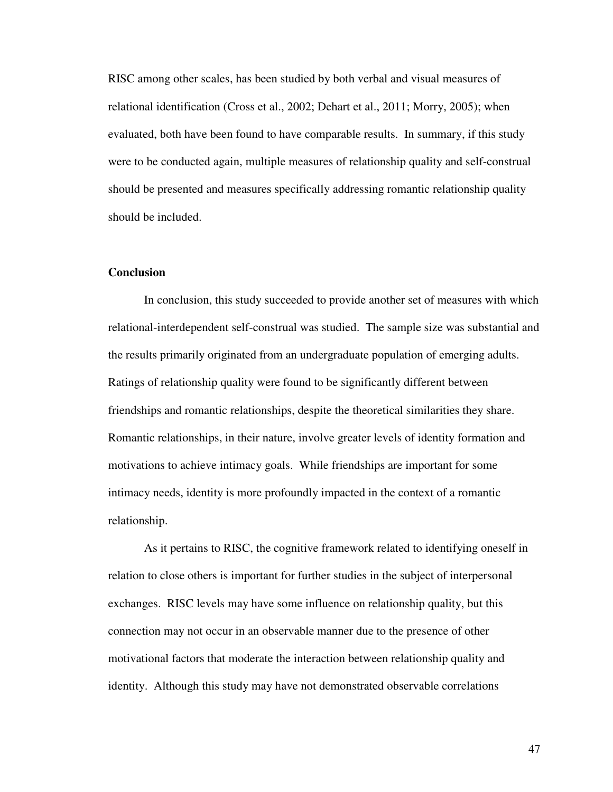RISC among other scales, has been studied by both verbal and visual measures of relational identification (Cross et al., 2002; Dehart et al., 2011; Morry, 2005); when evaluated, both have been found to have comparable results. In summary, if this study were to be conducted again, multiple measures of relationship quality and self-construal should be presented and measures specifically addressing romantic relationship quality should be included.

#### **Conclusion**

 In conclusion, this study succeeded to provide another set of measures with which relational-interdependent self-construal was studied. The sample size was substantial and the results primarily originated from an undergraduate population of emerging adults. Ratings of relationship quality were found to be significantly different between friendships and romantic relationships, despite the theoretical similarities they share. Romantic relationships, in their nature, involve greater levels of identity formation and motivations to achieve intimacy goals. While friendships are important for some intimacy needs, identity is more profoundly impacted in the context of a romantic relationship.

 As it pertains to RISC, the cognitive framework related to identifying oneself in relation to close others is important for further studies in the subject of interpersonal exchanges. RISC levels may have some influence on relationship quality, but this connection may not occur in an observable manner due to the presence of other motivational factors that moderate the interaction between relationship quality and identity. Although this study may have not demonstrated observable correlations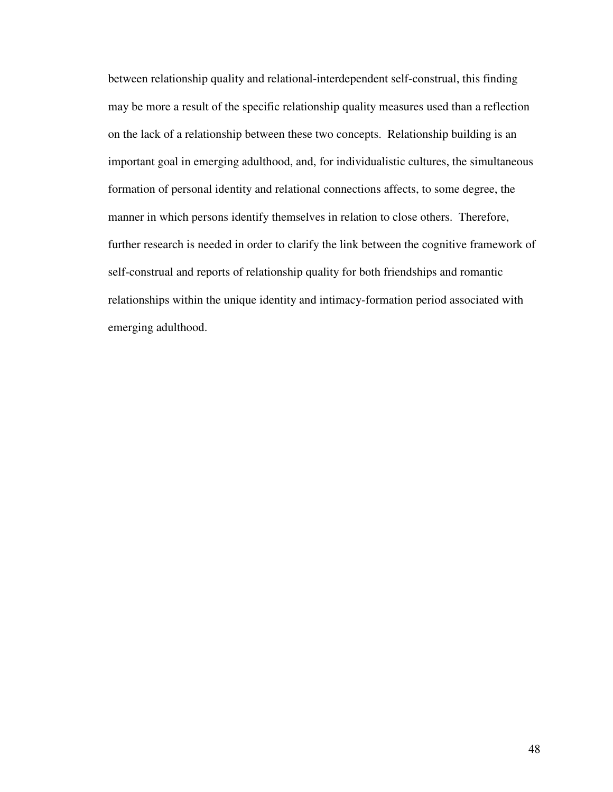between relationship quality and relational-interdependent self-construal, this finding may be more a result of the specific relationship quality measures used than a reflection on the lack of a relationship between these two concepts. Relationship building is an important goal in emerging adulthood, and, for individualistic cultures, the simultaneous formation of personal identity and relational connections affects, to some degree, the manner in which persons identify themselves in relation to close others. Therefore, further research is needed in order to clarify the link between the cognitive framework of self-construal and reports of relationship quality for both friendships and romantic relationships within the unique identity and intimacy-formation period associated with emerging adulthood.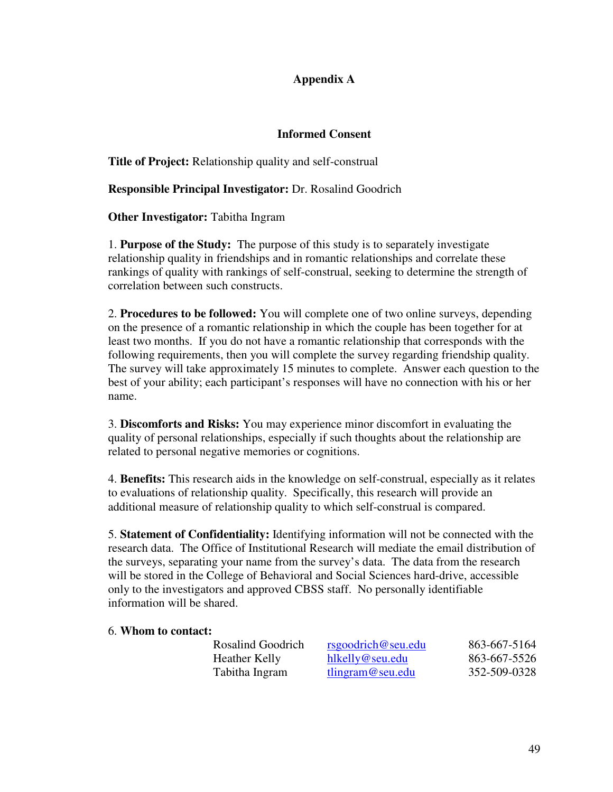# **Appendix A**

# **Informed Consent**

**Title of Project:** Relationship quality and self-construal

**Responsible Principal Investigator:** Dr. Rosalind Goodrich

**Other Investigator:** Tabitha Ingram

1. **Purpose of the Study:** The purpose of this study is to separately investigate relationship quality in friendships and in romantic relationships and correlate these rankings of quality with rankings of self-construal, seeking to determine the strength of correlation between such constructs.

2. **Procedures to be followed:** You will complete one of two online surveys, depending on the presence of a romantic relationship in which the couple has been together for at least two months. If you do not have a romantic relationship that corresponds with the following requirements, then you will complete the survey regarding friendship quality. The survey will take approximately 15 minutes to complete. Answer each question to the best of your ability; each participant's responses will have no connection with his or her name.

3. **Discomforts and Risks:** You may experience minor discomfort in evaluating the quality of personal relationships, especially if such thoughts about the relationship are related to personal negative memories or cognitions.

4. **Benefits:** This research aids in the knowledge on self-construal, especially as it relates to evaluations of relationship quality. Specifically, this research will provide an additional measure of relationship quality to which self-construal is compared.

5. **Statement of Confidentiality:** Identifying information will not be connected with the research data. The Office of Institutional Research will mediate the email distribution of the surveys, separating your name from the survey's data. The data from the research will be stored in the College of Behavioral and Social Sciences hard-drive, accessible only to the investigators and approved CBSS staff. No personally identifiable information will be shared.

## 6. **Whom to contact:**

| Rosalind Goodrich | rsgoodrich@seu.edu | 863-667-5164 |
|-------------------|--------------------|--------------|
| Heather Kelly     | hlkelly@seu.edu    | 863-667-5526 |
| Tabitha Ingram    | tlingram@seu.edu   | 352-509-0328 |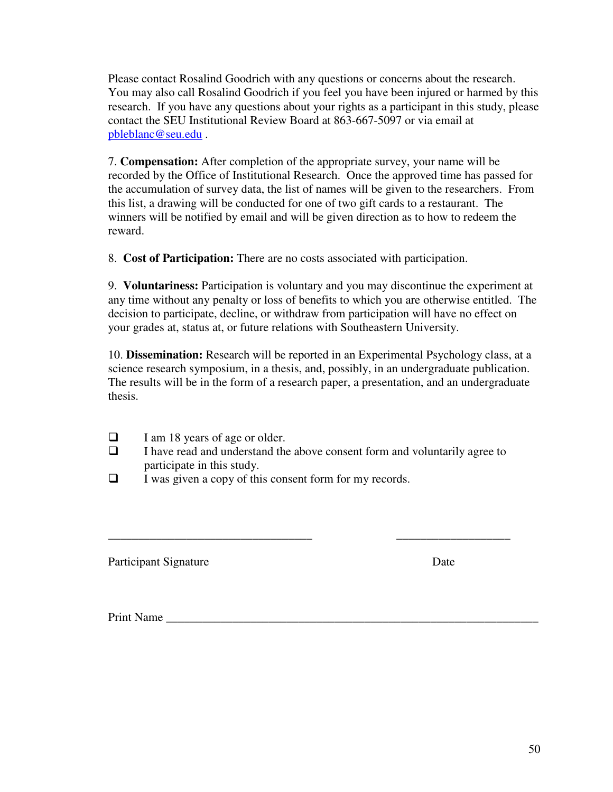Please contact Rosalind Goodrich with any questions or concerns about the research. You may also call Rosalind Goodrich if you feel you have been injured or harmed by this research. If you have any questions about your rights as a participant in this study, please contact the SEU Institutional Review Board at 863-667-5097 or via email at pbleblanc@seu.edu .

7. **Compensation:** After completion of the appropriate survey, your name will be recorded by the Office of Institutional Research. Once the approved time has passed for the accumulation of survey data, the list of names will be given to the researchers. From this list, a drawing will be conducted for one of two gift cards to a restaurant. The winners will be notified by email and will be given direction as to how to redeem the reward.

8. **Cost of Participation:** There are no costs associated with participation.

9. **Voluntariness:** Participation is voluntary and you may discontinue the experiment at any time without any penalty or loss of benefits to which you are otherwise entitled. The decision to participate, decline, or withdraw from participation will have no effect on your grades at, status at, or future relations with Southeastern University.

10. **Dissemination:** Research will be reported in an Experimental Psychology class, at a science research symposium, in a thesis, and, possibly, in an undergraduate publication. The results will be in the form of a research paper, a presentation, and an undergraduate thesis.

- $\Box$  I am 18 years of age or older.
- $\Box$  I have read and understand the above consent form and voluntarily agree to participate in this study.

\_\_\_\_\_\_\_\_\_\_\_\_\_\_\_\_\_\_\_\_\_\_\_\_\_\_\_\_\_\_\_\_\_\_ \_\_\_\_\_\_\_\_\_\_\_\_\_\_\_\_\_\_\_

 $\Box$  I was given a copy of this consent form for my records.

Participant Signature Date

Print Name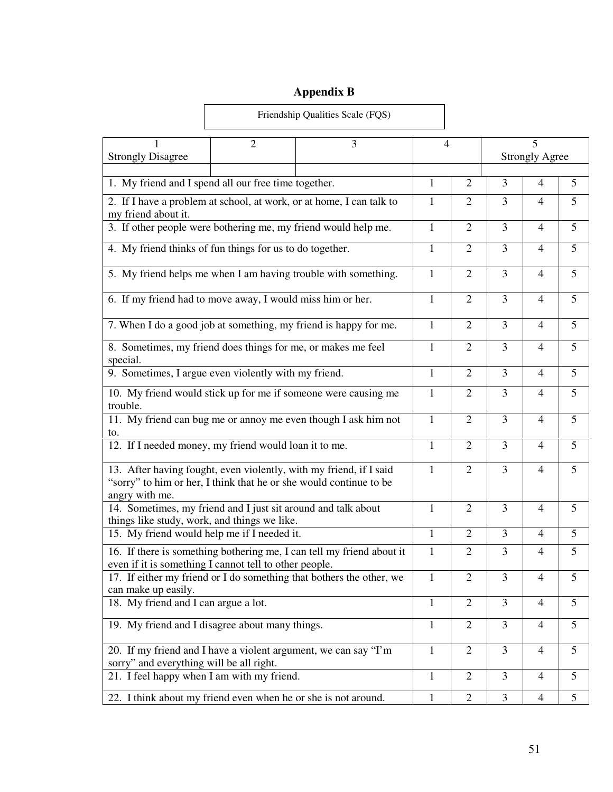# **Appendix B**

 $\Gamma$ 

|                                                                                                               | Friendship Qualities Scale (FQS) |                                                                       |              |                |                         |                            |                 |
|---------------------------------------------------------------------------------------------------------------|----------------------------------|-----------------------------------------------------------------------|--------------|----------------|-------------------------|----------------------------|-----------------|
| <b>Strongly Disagree</b>                                                                                      | 3<br>2                           |                                                                       |              | $\overline{4}$ |                         | 5<br><b>Strongly Agree</b> |                 |
| 1. My friend and I spend all our free time together.                                                          |                                  |                                                                       | $\mathbf{1}$ | $\overline{2}$ | 3                       | $\overline{4}$             | 5               |
|                                                                                                               |                                  | 2. If I have a problem at school, at work, or at home, I can talk to  | 1            | 2              | 3                       | $\overline{4}$             | 5               |
| my friend about it.<br>3. If other people were bothering me, my friend would help me.                         |                                  |                                                                       | $\mathbf{1}$ | $\overline{2}$ | 3                       | $\overline{4}$             | 5               |
| 4. My friend thinks of fun things for us to do together.                                                      |                                  |                                                                       | $\mathbf{1}$ | $\overline{2}$ | $\overline{3}$          | $\overline{4}$             | 5               |
|                                                                                                               |                                  | 5. My friend helps me when I am having trouble with something.        | $\mathbf{1}$ | $\overline{2}$ | 3                       | $\overline{4}$             | 5               |
| 6. If my friend had to move away, I would miss him or her.                                                    |                                  |                                                                       | $\mathbf{1}$ | $\mathfrak{2}$ | 3                       | $\overline{4}$             | 5               |
|                                                                                                               |                                  | 7. When I do a good job at something, my friend is happy for me.      | $\mathbf{1}$ | 2              | 3                       | $\overline{4}$             | 5               |
| 8. Sometimes, my friend does things for me, or makes me feel<br>special.                                      |                                  |                                                                       | $\mathbf{1}$ | $\overline{2}$ | 3                       | $\overline{4}$             | 5               |
| 9. Sometimes, I argue even violently with my friend.                                                          |                                  |                                                                       | 1            | 2              | 3                       | $\overline{4}$             | 5               |
| trouble.                                                                                                      |                                  | 10. My friend would stick up for me if someone were causing me        | $\mathbf{1}$ | $\overline{2}$ | 3                       | $\overline{4}$             | 5               |
|                                                                                                               |                                  | 11. My friend can bug me or annoy me even though I ask him not        | $\mathbf{1}$ | $\overline{2}$ | $\overline{3}$          | $\overline{4}$             | 5               |
| to.<br>12. If I needed money, my friend would loan it to me.                                                  |                                  |                                                                       | 1            | 2              | 3                       | $\overline{4}$             | 5               |
| "sorry" to him or her, I think that he or she would continue to be<br>angry with me.                          |                                  | 13. After having fought, even violently, with my friend, if I said    | $\mathbf{1}$ | $\overline{2}$ | 3                       | $\overline{4}$             | 5               |
| 14. Sometimes, my friend and I just sit around and talk about<br>things like study, work, and things we like. |                                  |                                                                       | $\mathbf{1}$ | $\overline{2}$ | $\overline{3}$          | $\overline{4}$             | 5               |
| 15. My friend would help me if I needed it.                                                                   |                                  |                                                                       | 1            | $\overline{2}$ | 3                       | $\overline{4}$             | 5               |
| even if it is something I cannot tell to other people.                                                        |                                  | 16. If there is something bothering me, I can tell my friend about it |              | $\mathbf{2}$   | $\overline{\mathbf{3}}$ | $\overline{4}$             | 5               |
| 17. If either my friend or I do something that bothers the other, we<br>can make up easily.                   |                                  |                                                                       |              | 2              | 3                       | $\overline{4}$             | 5               |
| 18. My friend and I can argue a lot.                                                                          |                                  |                                                                       | $\mathbf{1}$ | $\overline{2}$ | 3                       | $\overline{4}$             | 5               |
| 19. My friend and I disagree about many things.                                                               |                                  |                                                                       | 1            | $\overline{2}$ | 3                       | $\overline{4}$             | 5               |
| 20. If my friend and I have a violent argument, we can say "I'm<br>sorry" and everything will be all right.   |                                  |                                                                       | $\mathbf{1}$ | $\overline{2}$ | 3                       | $\overline{4}$             | 5               |
| 21. I feel happy when I am with my friend.                                                                    |                                  |                                                                       | $\mathbf{1}$ | $\overline{2}$ | 3                       | $\overline{4}$             | 5               |
| 22. I think about my friend even when he or she is not around.                                                |                                  |                                                                       | $\mathbf{1}$ | $\overline{2}$ | 3                       | $\overline{4}$             | $5\overline{)}$ |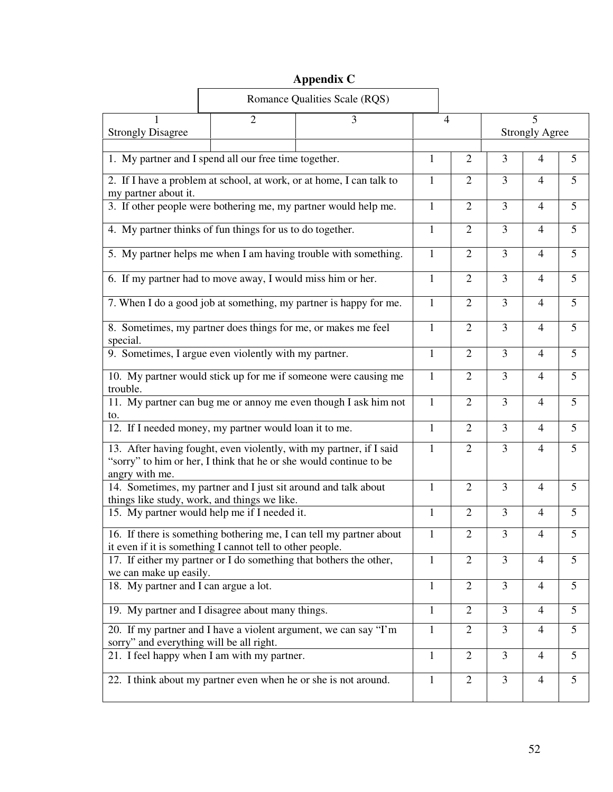# **Appendix C**

| Romance Qualities Scale (RQS)                                                                                  |                |                                                                      |                |                |                            |                         |   |
|----------------------------------------------------------------------------------------------------------------|----------------|----------------------------------------------------------------------|----------------|----------------|----------------------------|-------------------------|---|
| <b>Strongly Disagree</b>                                                                                       | $\overline{2}$ | 3                                                                    | $\overline{4}$ |                | 5<br><b>Strongly Agree</b> |                         |   |
| 1. My partner and I spend all our free time together.                                                          |                |                                                                      | 1              | $\overline{2}$ | 3                          | 4                       | 5 |
| my partner about it.                                                                                           |                | 2. If I have a problem at school, at work, or at home, I can talk to | 1              | $\overline{2}$ | 3                          | $\overline{4}$          | 5 |
| 3. If other people were bothering me, my partner would help me.                                                |                |                                                                      | $\mathbf{1}$   | $\overline{2}$ | 3                          | 4                       | 5 |
| 4. My partner thinks of fun things for us to do together.                                                      |                |                                                                      | $\mathbf{1}$   | $\overline{2}$ | 3                          | $\overline{4}$          | 5 |
|                                                                                                                |                | 5. My partner helps me when I am having trouble with something.      | $\mathbf{1}$   | $\overline{2}$ | 3                          | 4                       | 5 |
| 6. If my partner had to move away, I would miss him or her.                                                    |                |                                                                      | $\mathbf{1}$   | $\overline{2}$ | 3                          | $\overline{4}$          | 5 |
|                                                                                                                |                | 7. When I do a good job at something, my partner is happy for me.    | $\mathbf{1}$   | $\overline{2}$ | 3                          | $\overline{4}$          | 5 |
| 8. Sometimes, my partner does things for me, or makes me feel<br>special.                                      |                |                                                                      | 1              | $\overline{2}$ | 3                          | $\overline{4}$          | 5 |
| 9. Sometimes, I argue even violently with my partner.                                                          |                |                                                                      | $\mathbf{1}$   | $\overline{2}$ | $\overline{3}$             | $\overline{4}$          | 5 |
| trouble.                                                                                                       |                | 10. My partner would stick up for me if someone were causing me      | 1              | $\overline{2}$ | 3                          | $\overline{4}$          | 5 |
| 11. My partner can bug me or annoy me even though I ask him not                                                |                |                                                                      | $\mathbf{1}$   | $\overline{2}$ | $\overline{3}$             | $\overline{4}$          | 5 |
| to.<br>12. If I needed money, my partner would loan it to me.                                                  |                |                                                                      |                | $\overline{2}$ | 3                          | $\overline{4}$          | 5 |
| "sorry" to him or her, I think that he or she would continue to be<br>angry with me.                           |                | 13. After having fought, even violently, with my partner, if I said  | $\mathbf{1}$   | $\overline{2}$ | $\overline{3}$             | $\overline{4}$          | 5 |
| 14. Sometimes, my partner and I just sit around and talk about<br>things like study, work, and things we like. |                |                                                                      | 1              | $\overline{2}$ | $\overline{3}$             | $\overline{4}$          | 5 |
| 15. My partner would help me if I needed it.                                                                   |                |                                                                      | 1              | $\overline{2}$ | 3                          | 4                       | 5 |
| it even if it is something I cannot tell to other people.                                                      |                | 16. If there is something bothering me, I can tell my partner about  | $\mathbf{1}$   | $\mathfrak{2}$ | 3                          | $\overline{\mathbf{4}}$ | 5 |
| 17. If either my partner or I do something that bothers the other,<br>we can make up easily.                   |                |                                                                      | 1              | $\overline{2}$ | 3                          | 4                       | 5 |
| 18. My partner and I can argue a lot.                                                                          |                |                                                                      | $\mathbf{1}$   | $\overline{2}$ | 3                          | 4                       | 5 |
| 19. My partner and I disagree about many things.                                                               |                |                                                                      | $\mathbf{1}$   | $\overline{2}$ | 3                          | $\overline{4}$          | 5 |
| 20. If my partner and I have a violent argument, we can say "I'm<br>sorry" and everything will be all right.   |                |                                                                      | $\mathbf{1}$   | $\overline{2}$ | 3                          | $\overline{4}$          | 5 |
| 21. I feel happy when I am with my partner.                                                                    |                |                                                                      | $\mathbf{1}$   | $\overline{2}$ | 3                          | $\overline{4}$          | 5 |
| 22. I think about my partner even when he or she is not around.                                                |                |                                                                      | $\mathbf{1}$   | $\overline{2}$ | $\overline{3}$             | $\overline{4}$          | 5 |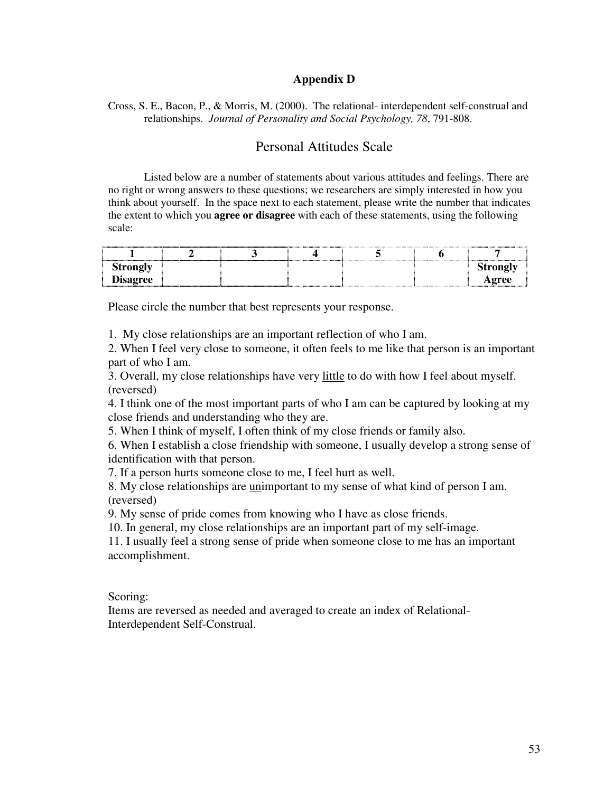# **Appendix D**

Cross, S. E., Bacon, P., & Morris, M. (2000). The relational- interdependent self-construal and relationships. *Journal of Personality and Social Psychology, 78*, 791-808.

# Personal Attitudes Scale

 Listed below are a number of statements about various attitudes and feelings. There are no right or wrong answers to these questions; we researchers are simply interested in how you think about yourself. In the space next to each statement, please write the number that indicates the extent to which you **agree or disagree** with each of these statements, using the following scale:

| Strongly       |  |  |  |
|----------------|--|--|--|
| Ξ.<br>Disagree |  |  |  |

Please circle the number that best represents your response.

1. My close relationships are an important reflection of who I am.

2. When I feel very close to someone, it often feels to me like that person is an important part of who I am.

3. Overall, my close relationships have very little to do with how I feel about myself. (reversed)

4. I think one of the most important parts of who I am can be captured by looking at my close friends and understanding who they are.

5. When I think of myself, I often think of my close friends or family also.

6. When I establish a close friendship with someone, I usually develop a strong sense of identification with that person.

7. If a person hurts someone close to me, I feel hurt as well.

8. My close relationships are unimportant to my sense of what kind of person I am. (reversed)

9. My sense of pride comes from knowing who I have as close friends.

10. In general, my close relationships are an important part of my self-image.

11. I usually feel a strong sense of pride when someone close to me has an important accomplishment.

Scoring:

Items are reversed as needed and averaged to create an index of Relational-Interdependent Self-Construal.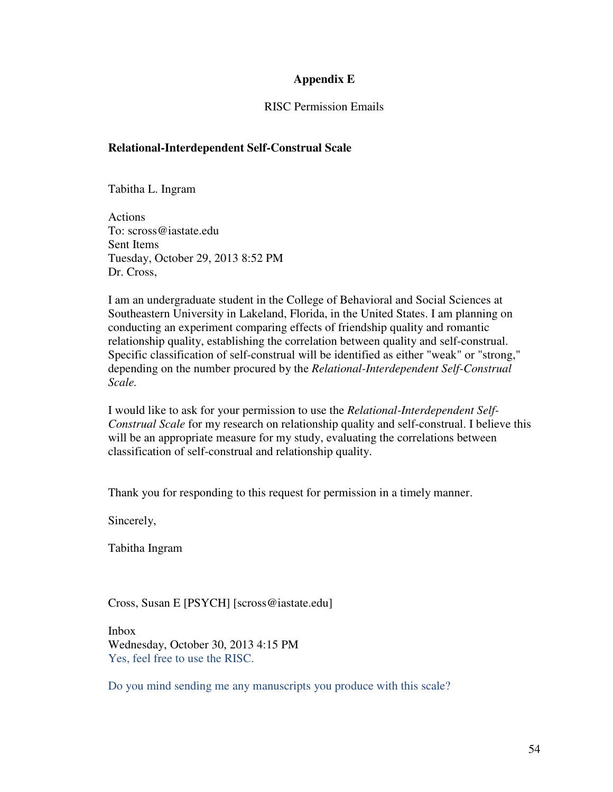# **Appendix E**

## RISC Permission Emails

# **Relational-Interdependent Self-Construal Scale**

Tabitha L. Ingram

Actions To: scross@iastate.edu Sent Items Tuesday, October 29, 2013 8:52 PM Dr. Cross,

I am an undergraduate student in the College of Behavioral and Social Sciences at Southeastern University in Lakeland, Florida, in the United States. I am planning on conducting an experiment comparing effects of friendship quality and romantic relationship quality, establishing the correlation between quality and self-construal. Specific classification of self-construal will be identified as either "weak" or "strong," depending on the number procured by the *Relational-Interdependent Self-Construal Scale.*

I would like to ask for your permission to use the *Relational-Interdependent Self-Construal Scale* for my research on relationship quality and self-construal. I believe this will be an appropriate measure for my study, evaluating the correlations between classification of self-construal and relationship quality.

Thank you for responding to this request for permission in a timely manner.

Sincerely,

Tabitha Ingram

Cross, Susan E [PSYCH] [scross@iastate.edu]

Inbox Wednesday, October 30, 2013 4:15 PM Yes, feel free to use the RISC.

Do you mind sending me any manuscripts you produce with this scale?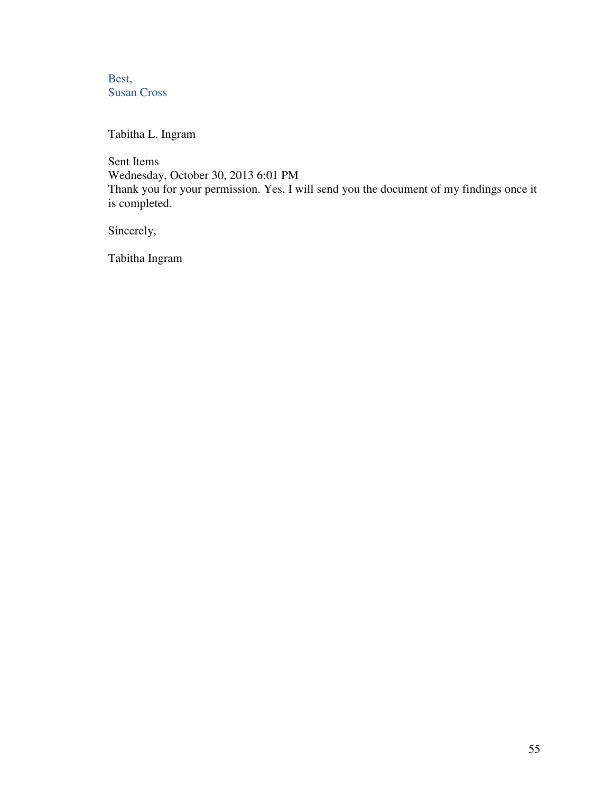Best, Susan Cross

Tabitha L. Ingram

Sent Items Wednesday, October 30, 2013 6:01 PM Thank you for your permission. Yes, I will send you the document of my findings once it is completed.

Sincerely,

Tabitha Ingram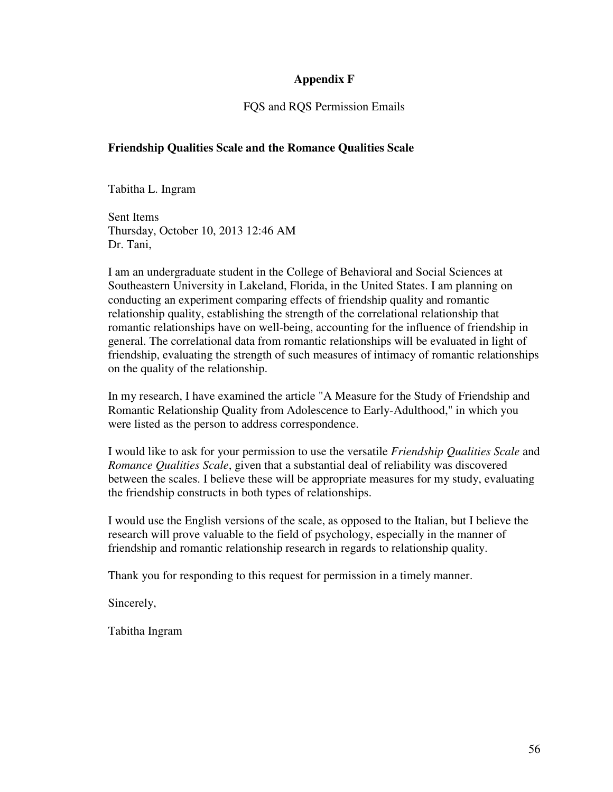# **Appendix F**

# FQS and RQS Permission Emails

# **Friendship Qualities Scale and the Romance Qualities Scale**

Tabitha L. Ingram

Sent Items Thursday, October 10, 2013 12:46 AM Dr. Tani,

I am an undergraduate student in the College of Behavioral and Social Sciences at Southeastern University in Lakeland, Florida, in the United States. I am planning on conducting an experiment comparing effects of friendship quality and romantic relationship quality, establishing the strength of the correlational relationship that romantic relationships have on well-being, accounting for the influence of friendship in general. The correlational data from romantic relationships will be evaluated in light of friendship, evaluating the strength of such measures of intimacy of romantic relationships on the quality of the relationship.

In my research, I have examined the article "A Measure for the Study of Friendship and Romantic Relationship Quality from Adolescence to Early-Adulthood," in which you were listed as the person to address correspondence.

I would like to ask for your permission to use the versatile *Friendship Qualities Scale* and *Romance Qualities Scale*, given that a substantial deal of reliability was discovered between the scales. I believe these will be appropriate measures for my study, evaluating the friendship constructs in both types of relationships.

I would use the English versions of the scale, as opposed to the Italian, but I believe the research will prove valuable to the field of psychology, especially in the manner of friendship and romantic relationship research in regards to relationship quality.

Thank you for responding to this request for permission in a timely manner.

Sincerely,

Tabitha Ingram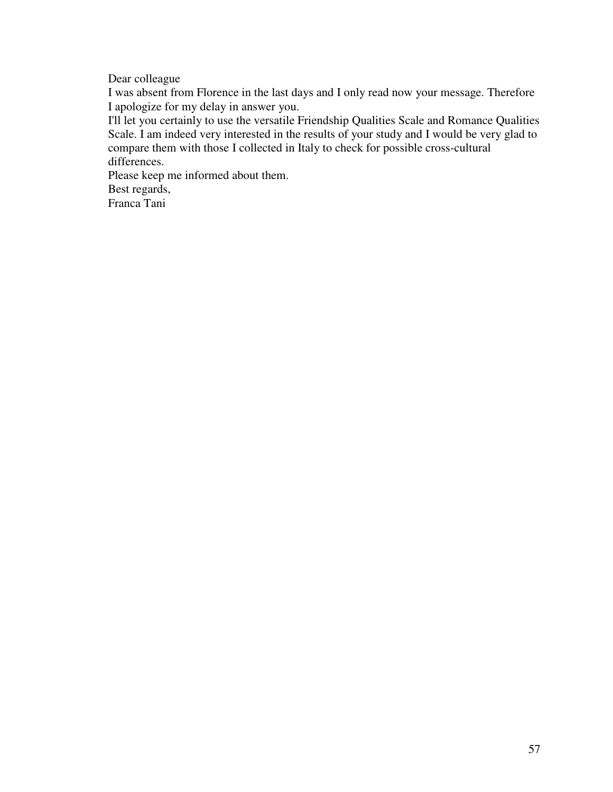Dear colleague

I was absent from Florence in the last days and I only read now your message. Therefore I apologize for my delay in answer you.

I'll let you certainly to use the versatile Friendship Qualities Scale and Romance Qualities Scale. I am indeed very interested in the results of your study and I would be very glad to compare them with those I collected in Italy to check for possible cross-cultural differences.

Please keep me informed about them. Best regards,

Franca Tani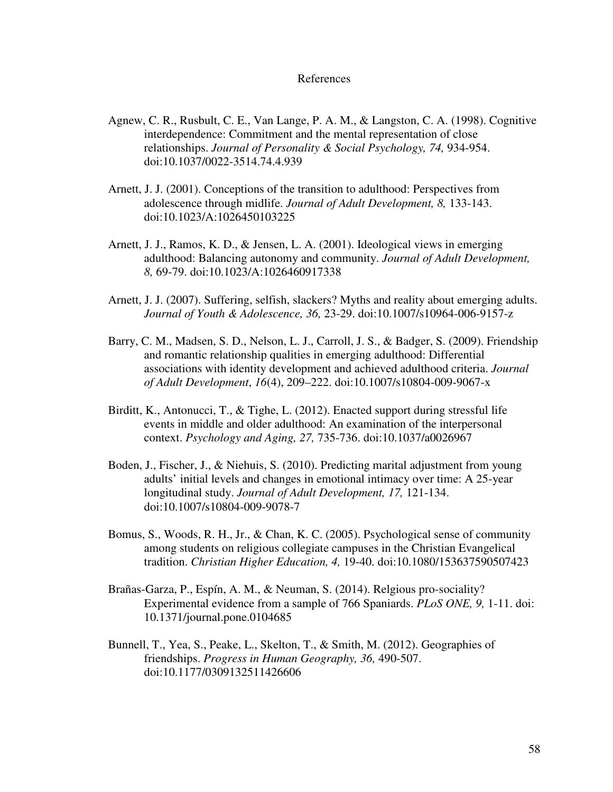#### References

- Agnew, C. R., Rusbult, C. E., Van Lange, P. A. M., & Langston, C. A. (1998). Cognitive interdependence: Commitment and the mental representation of close relationships. *Journal of Personality & Social Psychology, 74,* 934-954. doi:10.1037/0022-3514.74.4.939
- Arnett, J. J. (2001). Conceptions of the transition to adulthood: Perspectives from adolescence through midlife. *Journal of Adult Development, 8,* 133-143. doi:10.1023/A:1026450103225
- Arnett, J. J., Ramos, K. D., & Jensen, L. A. (2001). Ideological views in emerging adulthood: Balancing autonomy and community. *Journal of Adult Development, 8,* 69-79. doi:10.1023/A:1026460917338
- Arnett, J. J. (2007). Suffering, selfish, slackers? Myths and reality about emerging adults. *Journal of Youth & Adolescence, 36,* 23-29. doi:10.1007/s10964-006-9157-z
- Barry, C. M., Madsen, S. D., Nelson, L. J., Carroll, J. S., & Badger, S. (2009). Friendship and romantic relationship qualities in emerging adulthood: Differential associations with identity development and achieved adulthood criteria. *Journal of Adult Development*, *16*(4), 209–222. doi:10.1007/s10804-009-9067-x
- Birditt, K., Antonucci, T., & Tighe, L. (2012). Enacted support during stressful life events in middle and older adulthood: An examination of the interpersonal context. *Psychology and Aging, 27,* 735-736. doi:10.1037/a0026967
- Boden, J., Fischer, J., & Niehuis, S. (2010). Predicting marital adjustment from young adults' initial levels and changes in emotional intimacy over time: A 25-year longitudinal study. *Journal of Adult Development, 17,* 121-134. doi:10.1007/s10804-009-9078-7
- Bomus, S., Woods, R. H., Jr., & Chan, K. C. (2005). Psychological sense of community among students on religious collegiate campuses in the Christian Evangelical tradition. *Christian Higher Education, 4,* 19-40. doi:10.1080/153637590507423
- Brañas-Garza, P., Espín, A. M., & Neuman, S. (2014). Relgious pro-sociality? Experimental evidence from a sample of 766 Spaniards. *PLoS ONE, 9,* 1-11. doi: 10.1371/journal.pone.0104685
- Bunnell, T., Yea, S., Peake, L., Skelton, T., & Smith, M. (2012). Geographies of friendships. *Progress in Human Geography, 36,* 490-507. doi:10.1177/0309132511426606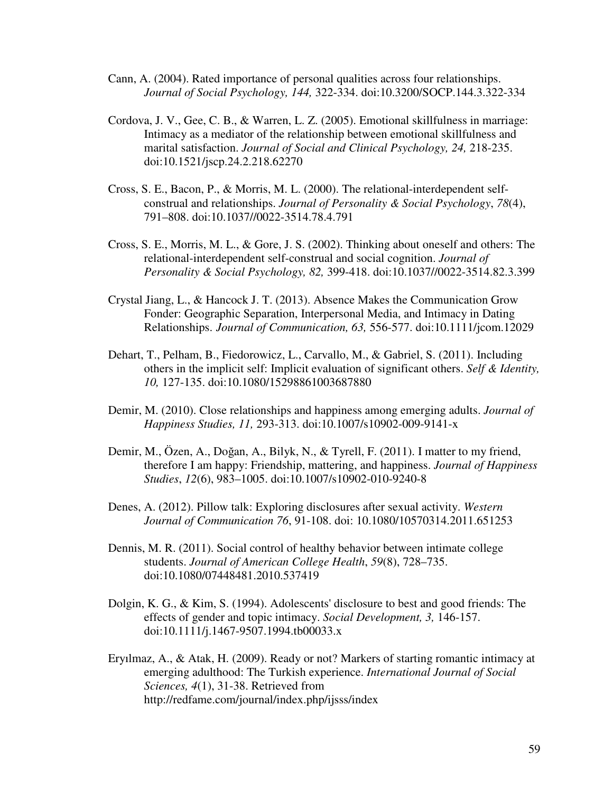- Cann, A. (2004). Rated importance of personal qualities across four relationships. *Journal of Social Psychology, 144,* 322-334. doi:10.3200/SOCP.144.3.322-334
- Cordova, J. V., Gee, C. B., & Warren, L. Z. (2005). Emotional skillfulness in marriage: Intimacy as a mediator of the relationship between emotional skillfulness and marital satisfaction. *Journal of Social and Clinical Psychology, 24,* 218-235. doi:10.1521/jscp.24.2.218.62270
- Cross, S. E., Bacon, P., & Morris, M. L. (2000). The relational-interdependent self construal and relationships. *Journal of Personality & Social Psychology*, *78*(4), 791–808. doi:10.1037//0022-3514.78.4.791
- Cross, S. E., Morris, M. L., & Gore, J. S. (2002). Thinking about oneself and others: The relational-interdependent self-construal and social cognition. *Journal of Personality & Social Psychology, 82,* 399-418. doi:10.1037//0022-3514.82.3.399
- Crystal Jiang, L., & Hancock J. T. (2013). Absence Makes the Communication Grow Fonder: Geographic Separation, Interpersonal Media, and Intimacy in Dating Relationships. *Journal of Communication, 63,* 556-577. doi:10.1111/jcom.12029
- Dehart, T., Pelham, B., Fiedorowicz, L., Carvallo, M., & Gabriel, S. (2011). Including others in the implicit self: Implicit evaluation of significant others. *Self & Identity, 10,* 127-135. doi:10.1080/15298861003687880
- Demir, M. (2010). Close relationships and happiness among emerging adults. *Journal of Happiness Studies, 11,* 293-313. doi:10.1007/s10902-009-9141-x
- Demir, M., Özen, A., Doğan, A., Bilyk, N., & Tyrell, F. (2011). I matter to my friend, therefore I am happy: Friendship, mattering, and happiness. *Journal of Happiness Studies*, *12*(6), 983–1005. doi:10.1007/s10902-010-9240-8
- Denes, A. (2012). Pillow talk: Exploring disclosures after sexual activity. *Western Journal of Communication 76*, 91-108. doi: 10.1080/10570314.2011.651253
- Dennis, M. R. (2011). Social control of healthy behavior between intimate college students. *Journal of American College Health*, *59*(8), 728–735. doi:10.1080/07448481.2010.537419
- Dolgin, K. G., & Kim, S. (1994). Adolescents' disclosure to best and good friends: The effects of gender and topic intimacy. *Social Development, 3,* 146-157. doi:10.1111/j.1467-9507.1994.tb00033.x
- Eryılmaz, A., & Atak, H. (2009). Ready or not? Markers of starting romantic intimacy at emerging adulthood: The Turkish experience. *International Journal of Social Sciences, 4*(1), 31-38. Retrieved from http://redfame.com/journal/index.php/ijsss/index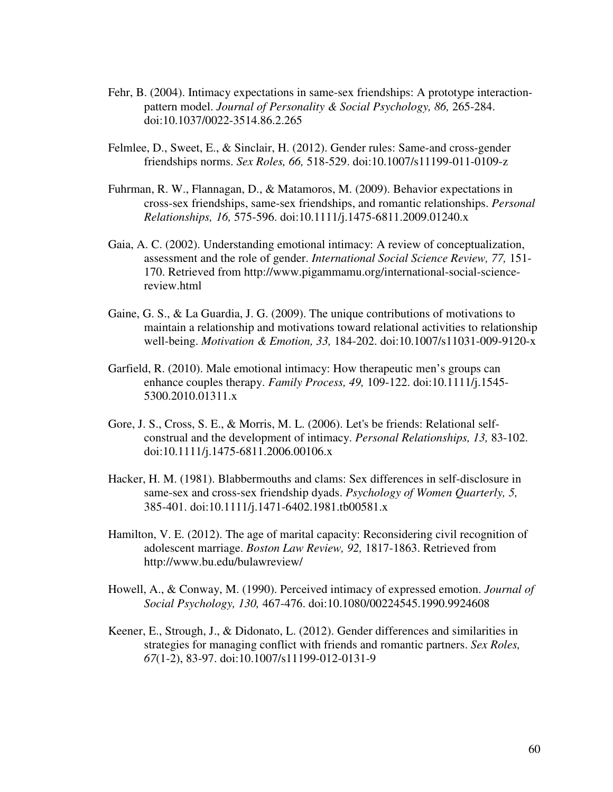- Fehr, B. (2004). Intimacy expectations in same-sex friendships: A prototype interaction pattern model. *Journal of Personality & Social Psychology, 86, 265-284.* doi:10.1037/0022-3514.86.2.265
- Felmlee, D., Sweet, E., & Sinclair, H. (2012). Gender rules: Same-and cross-gender friendships norms. *Sex Roles, 66,* 518-529. doi:10.1007/s11199-011-0109-z
- Fuhrman, R. W., Flannagan, D., & Matamoros, M. (2009). Behavior expectations in cross-sex friendships, same-sex friendships, and romantic relationships. *Personal Relationships, 16,* 575-596. doi:10.1111/j.1475-6811.2009.01240.x
- Gaia, A. C. (2002). Understanding emotional intimacy: A review of conceptualization, assessment and the role of gender. *International Social Science Review, 77,* 151- 170. Retrieved from http://www.pigammamu.org/international-social-science review.html
- Gaine, G. S., & La Guardia, J. G. (2009). The unique contributions of motivations to maintain a relationship and motivations toward relational activities to relationship well-being. *Motivation & Emotion, 33,* 184-202. doi:10.1007/s11031-009-9120-x
- Garfield, R. (2010). Male emotional intimacy: How therapeutic men's groups can enhance couples therapy. *Family Process, 49,* 109-122. doi:10.1111/j.1545- 5300.2010.01311.x
- Gore, J. S., Cross, S. E., & Morris, M. L. (2006). Let's be friends: Relational self construal and the development of intimacy. *Personal Relationships, 13,* 83-102. doi:10.1111/j.1475-6811.2006.00106.x
- Hacker, H. M. (1981). Blabbermouths and clams: Sex differences in self-disclosure in same-sex and cross-sex friendship dyads. *Psychology of Women Quarterly, 5,*  385-401. doi:10.1111/j.1471-6402.1981.tb00581.x
- Hamilton, V. E. (2012). The age of marital capacity: Reconsidering civil recognition of adolescent marriage. *Boston Law Review, 92,* 1817-1863. Retrieved from http://www.bu.edu/bulawreview/
- Howell, A., & Conway, M. (1990). Perceived intimacy of expressed emotion. *Journal of Social Psychology, 130,* 467-476. doi:10.1080/00224545.1990.9924608
- Keener, E., Strough, J., & Didonato, L. (2012). Gender differences and similarities in strategies for managing conflict with friends and romantic partners. *Sex Roles, 67*(1-2), 83-97. doi:10.1007/s11199-012-0131-9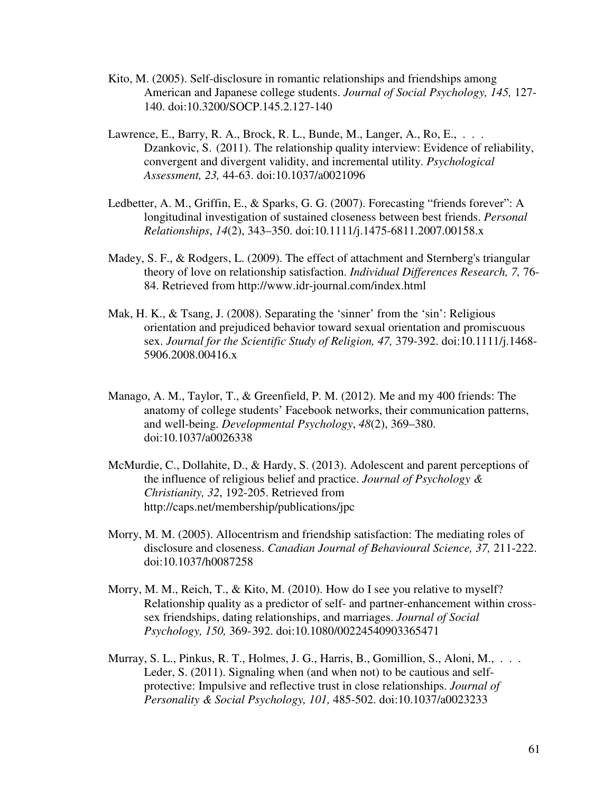- Kito, M. (2005). Self-disclosure in romantic relationships and friendships among American and Japanese college students. *Journal of Social Psychology, 145,* 127- 140. doi:10.3200/SOCP.145.2.127-140
- Lawrence, E., Barry, R. A., Brock, R. L., Bunde, M., Langer, A., Ro, E.,  $\dots$ . Dzankovic, S. (2011). The relationship quality interview: Evidence of reliability, convergent and divergent validity, and incremental utility. *Psychological Assessment, 23,* 44-63. doi:10.1037/a0021096
- Ledbetter, A. M., Griffin, E., & Sparks, G. G. (2007). Forecasting "friends forever": A longitudinal investigation of sustained closeness between best friends. *Personal Relationships*, *14*(2), 343–350. doi:10.1111/j.1475-6811.2007.00158.x
- Madey, S. F., & Rodgers, L. (2009). The effect of attachment and Sternberg's triangular theory of love on relationship satisfaction. *Individual Differences Research, 7,* 76- 84. Retrieved from http://www.idr-journal.com/index.html
- Mak, H. K., & Tsang, J. (2008). Separating the 'sinner' from the 'sin': Religious orientation and prejudiced behavior toward sexual orientation and promiscuous sex. *Journal for the Scientific Study of Religion, 47,* 379-392. doi:10.1111/j.1468- 5906.2008.00416.x
- Manago, A. M., Taylor, T., & Greenfield, P. M. (2012). Me and my 400 friends: The anatomy of college students' Facebook networks, their communication patterns, and well-being. *Developmental Psychology*, *48*(2), 369–380. doi:10.1037/a0026338
- McMurdie, C., Dollahite, D., & Hardy, S. (2013). Adolescent and parent perceptions of the influence of religious belief and practice. *Journal of Psychology & Christianity, 32*, 192-205. Retrieved from http://caps.net/membership/publications/jpc
- Morry, M. M. (2005). Allocentrism and friendship satisfaction: The mediating roles of disclosure and closeness. *Canadian Journal of Behavioural Science, 37,* 211-222. doi:10.1037/h0087258
- Morry, M. M., Reich, T., & Kito, M. (2010). How do I see you relative to myself? Relationship quality as a predictor of self- and partner-enhancement within cross sex friendships, dating relationships, and marriages. *Journal of Social Psychology, 150,* 369- 392. doi:10.1080/00224540903365471
- Murray, S. L., Pinkus, R. T., Holmes, J. G., Harris, B., Gomillion, S., Aloni, M., . . . Leder, S. (2011). Signaling when (and when not) to be cautious and self protective: Impulsive and reflective trust in close relationships. *Journal of Personality & Social Psychology, 101,* 485-502. doi:10.1037/a0023233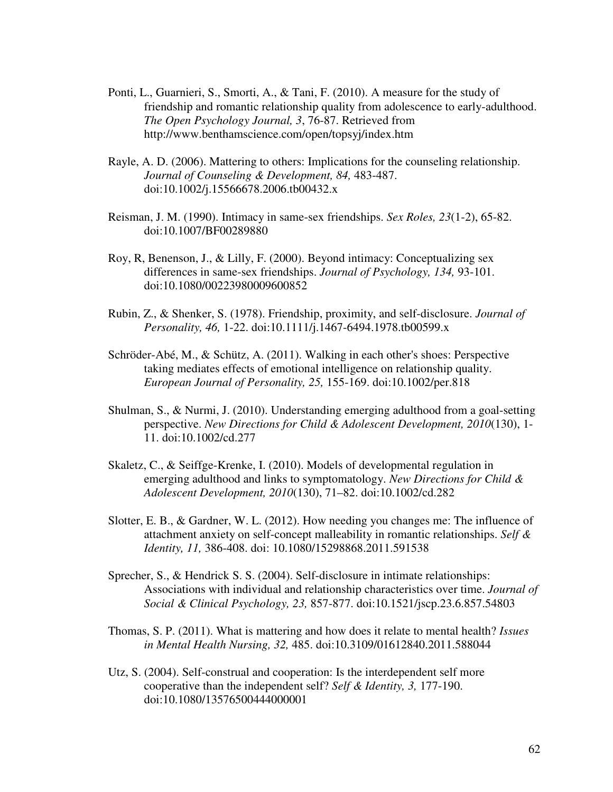- Ponti, L., Guarnieri, S., Smorti, A., & Tani, F. (2010). A measure for the study of friendship and romantic relationship quality from adolescence to early-adulthood. *The Open Psychology Journal, 3*, 76-87. Retrieved from http://www.benthamscience.com/open/topsyj/index.htm
- Rayle, A. D. (2006). Mattering to others: Implications for the counseling relationship. *Journal of Counseling & Development, 84,* 483-487. doi:10.1002/j.15566678.2006.tb00432.x
- Reisman, J. M. (1990). Intimacy in same-sex friendships. *Sex Roles, 23*(1-2), 65-82. doi:10.1007/BF00289880
- Roy, R, Benenson, J., & Lilly, F. (2000). Beyond intimacy: Conceptualizing sex differences in same-sex friendships. *Journal of Psychology, 134,* 93-101. doi:10.1080/00223980009600852
- Rubin, Z., & Shenker, S. (1978). Friendship, proximity, and self-disclosure. *Journal of Personality, 46,* 1-22. doi:10.1111/j.1467-6494.1978.tb00599.x
- Schröder-Abé, M., & Schütz, A. (2011). Walking in each other's shoes: Perspective taking mediates effects of emotional intelligence on relationship quality. *European Journal of Personality, 25,* 155-169. doi:10.1002/per.818
- Shulman, S., & Nurmi, J. (2010). Understanding emerging adulthood from a goal-setting perspective. *New Directions for Child & Adolescent Development, 2010*(130), 1- 11. doi:10.1002/cd.277
- Skaletz, C., & Seiffge-Krenke, I. (2010). Models of developmental regulation in emerging adulthood and links to symptomatology. *New Directions for Child & Adolescent Development, 2010*(130), 71–82. doi:10.1002/cd.282
- Slotter, E. B., & Gardner, W. L. (2012). How needing you changes me: The influence of attachment anxiety on self-concept malleability in romantic relationships. *Self & Identity, 11,* 386-408. doi: 10.1080/15298868.2011.591538
- Sprecher, S., & Hendrick S. S. (2004). Self-disclosure in intimate relationships: Associations with individual and relationship characteristics over time. *Journal of Social & Clinical Psychology, 23,* 857-877. doi:10.1521/jscp.23.6.857.54803
- Thomas, S. P. (2011). What is mattering and how does it relate to mental health? *Issues in Mental Health Nursing, 32,* 485. doi:10.3109/01612840.2011.588044
- Utz, S. (2004). Self-construal and cooperation: Is the interdependent self more cooperative than the independent self? *Self & Identity, 3,* 177-190. doi:10.1080/13576500444000001